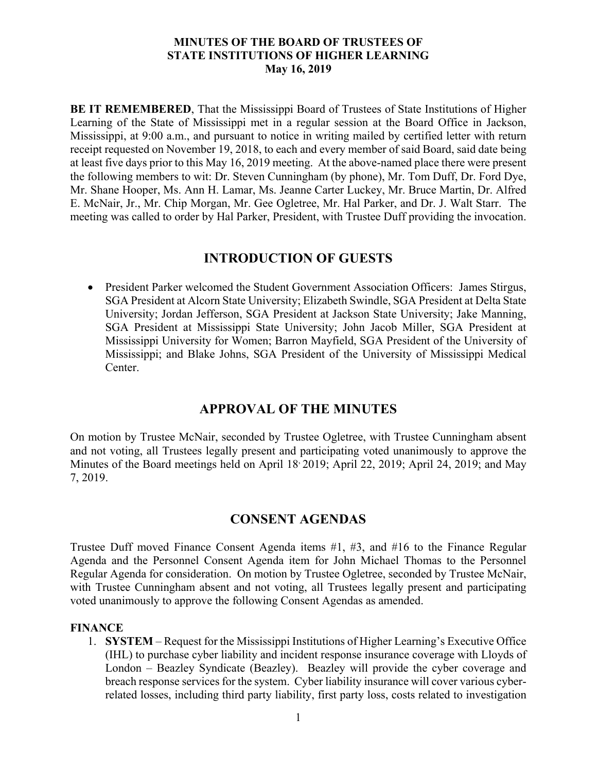**BE IT REMEMBERED**, That the Mississippi Board of Trustees of State Institutions of Higher Learning of the State of Mississippi met in a regular session at the Board Office in Jackson, Mississippi, at 9:00 a.m., and pursuant to notice in writing mailed by certified letter with return receipt requested on November 19, 2018, to each and every member of said Board, said date being at least five days prior to this May 16, 2019 meeting. At the above-named place there were present the following members to wit: Dr. Steven Cunningham (by phone), Mr. Tom Duff, Dr. Ford Dye, Mr. Shane Hooper, Ms. Ann H. Lamar, Ms. Jeanne Carter Luckey, Mr. Bruce Martin, Dr. Alfred E. McNair, Jr., Mr. Chip Morgan, Mr. Gee Ogletree, Mr. Hal Parker, and Dr. J. Walt Starr. The meeting was called to order by Hal Parker, President, with Trustee Duff providing the invocation.

# **INTRODUCTION OF GUESTS**

 President Parker welcomed the Student Government Association Officers: James Stirgus, SGA President at Alcorn State University; Elizabeth Swindle, SGA President at Delta State University; Jordan Jefferson, SGA President at Jackson State University; Jake Manning, SGA President at Mississippi State University; John Jacob Miller, SGA President at Mississippi University for Women; Barron Mayfield, SGA President of the University of Mississippi; and Blake Johns, SGA President of the University of Mississippi Medical Center.

# **APPROVAL OF THE MINUTES**

On motion by Trustee McNair, seconded by Trustee Ogletree, with Trustee Cunningham absent and not voting, all Trustees legally present and participating voted unanimously to approve the Minutes of the Board meetings held on April 18<sup>,</sup> 2019; April 22, 2019; April 24, 2019; and May 7, 2019.

# **CONSENT AGENDAS**

Trustee Duff moved Finance Consent Agenda items #1, #3, and #16 to the Finance Regular Agenda and the Personnel Consent Agenda item for John Michael Thomas to the Personnel Regular Agenda for consideration. On motion by Trustee Ogletree, seconded by Trustee McNair, with Trustee Cunningham absent and not voting, all Trustees legally present and participating voted unanimously to approve the following Consent Agendas as amended.

## **FINANCE**

1. **SYSTEM** – Request for the Mississippi Institutions of Higher Learning's Executive Office (IHL) to purchase cyber liability and incident response insurance coverage with Lloyds of London – Beazley Syndicate (Beazley). Beazley will provide the cyber coverage and breach response services for the system. Cyber liability insurance will cover various cyberrelated losses, including third party liability, first party loss, costs related to investigation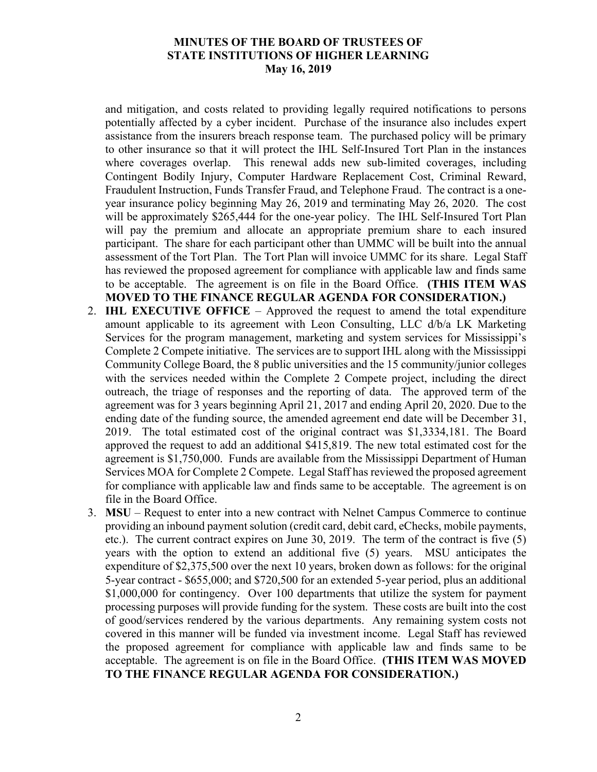and mitigation, and costs related to providing legally required notifications to persons potentially affected by a cyber incident. Purchase of the insurance also includes expert assistance from the insurers breach response team. The purchased policy will be primary to other insurance so that it will protect the IHL Self-Insured Tort Plan in the instances where coverages overlap. This renewal adds new sub-limited coverages, including Contingent Bodily Injury, Computer Hardware Replacement Cost, Criminal Reward, Fraudulent Instruction, Funds Transfer Fraud, and Telephone Fraud. The contract is a oneyear insurance policy beginning May 26, 2019 and terminating May 26, 2020. The cost will be approximately \$265,444 for the one-year policy. The IHL Self-Insured Tort Plan will pay the premium and allocate an appropriate premium share to each insured participant. The share for each participant other than UMMC will be built into the annual assessment of the Tort Plan. The Tort Plan will invoice UMMC for its share. Legal Staff has reviewed the proposed agreement for compliance with applicable law and finds same to be acceptable. The agreement is on file in the Board Office. **(THIS ITEM WAS MOVED TO THE FINANCE REGULAR AGENDA FOR CONSIDERATION.)**

- 2. **IHL EXECUTIVE OFFICE** Approved the request to amend the total expenditure amount applicable to its agreement with Leon Consulting, LLC d/b/a LK Marketing Services for the program management, marketing and system services for Mississippi's Complete 2 Compete initiative. The services are to support IHL along with the Mississippi Community College Board, the 8 public universities and the 15 community/junior colleges with the services needed within the Complete 2 Compete project, including the direct outreach, the triage of responses and the reporting of data. The approved term of the agreement was for 3 years beginning April 21, 2017 and ending April 20, 2020. Due to the ending date of the funding source, the amended agreement end date will be December 31, 2019. The total estimated cost of the original contract was \$1,3334,181. The Board approved the request to add an additional \$415,819. The new total estimated cost for the agreement is \$1,750,000. Funds are available from the Mississippi Department of Human Services MOA for Complete 2 Compete. Legal Staff has reviewed the proposed agreement for compliance with applicable law and finds same to be acceptable. The agreement is on file in the Board Office.
- 3. **MSU** Request to enter into a new contract with Nelnet Campus Commerce to continue providing an inbound payment solution (credit card, debit card, eChecks, mobile payments, etc.). The current contract expires on June 30, 2019. The term of the contract is five (5) years with the option to extend an additional five (5) years. MSU anticipates the expenditure of \$2,375,500 over the next 10 years, broken down as follows: for the original 5-year contract - \$655,000; and \$720,500 for an extended 5-year period, plus an additional \$1,000,000 for contingency. Over 100 departments that utilize the system for payment processing purposes will provide funding for the system. These costs are built into the cost of good/services rendered by the various departments. Any remaining system costs not covered in this manner will be funded via investment income. Legal Staff has reviewed the proposed agreement for compliance with applicable law and finds same to be acceptable. The agreement is on file in the Board Office. **(THIS ITEM WAS MOVED TO THE FINANCE REGULAR AGENDA FOR CONSIDERATION.)**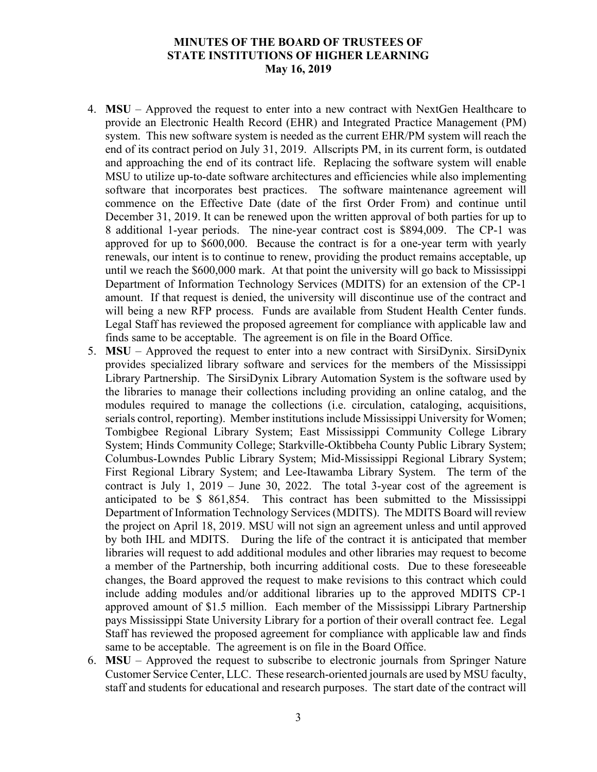- 4. **MSU** Approved the request to enter into a new contract with NextGen Healthcare to provide an Electronic Health Record (EHR) and Integrated Practice Management (PM) system. This new software system is needed as the current EHR/PM system will reach the end of its contract period on July 31, 2019. Allscripts PM, in its current form, is outdated and approaching the end of its contract life. Replacing the software system will enable MSU to utilize up-to-date software architectures and efficiencies while also implementing software that incorporates best practices. The software maintenance agreement will commence on the Effective Date (date of the first Order From) and continue until December 31, 2019. It can be renewed upon the written approval of both parties for up to 8 additional 1-year periods. The nine-year contract cost is \$894,009. The CP-1 was approved for up to \$600,000. Because the contract is for a one-year term with yearly renewals, our intent is to continue to renew, providing the product remains acceptable, up until we reach the \$600,000 mark. At that point the university will go back to Mississippi Department of Information Technology Services (MDITS) for an extension of the CP-1 amount. If that request is denied, the university will discontinue use of the contract and will being a new RFP process. Funds are available from Student Health Center funds. Legal Staff has reviewed the proposed agreement for compliance with applicable law and finds same to be acceptable. The agreement is on file in the Board Office.
- 5. **MSU** Approved the request to enter into a new contract with SirsiDynix. SirsiDynix provides specialized library software and services for the members of the Mississippi Library Partnership. The SirsiDynix Library Automation System is the software used by the libraries to manage their collections including providing an online catalog, and the modules required to manage the collections (i.e. circulation, cataloging, acquisitions, serials control, reporting). Member institutions include Mississippi University for Women; Tombigbee Regional Library System; East Mississippi Community College Library System; Hinds Community College; Starkville-Oktibbeha County Public Library System; Columbus-Lowndes Public Library System; Mid-Mississippi Regional Library System; First Regional Library System; and Lee-Itawamba Library System. The term of the contract is July 1, 2019 – June 30, 2022. The total 3-year cost of the agreement is anticipated to be \$ 861,854. This contract has been submitted to the Mississippi Department of Information Technology Services (MDITS). The MDITS Board will review the project on April 18, 2019. MSU will not sign an agreement unless and until approved by both IHL and MDITS. During the life of the contract it is anticipated that member libraries will request to add additional modules and other libraries may request to become a member of the Partnership, both incurring additional costs. Due to these foreseeable changes, the Board approved the request to make revisions to this contract which could include adding modules and/or additional libraries up to the approved MDITS CP-1 approved amount of \$1.5 million. Each member of the Mississippi Library Partnership pays Mississippi State University Library for a portion of their overall contract fee. Legal Staff has reviewed the proposed agreement for compliance with applicable law and finds same to be acceptable. The agreement is on file in the Board Office.
- 6. **MSU** Approved the request to subscribe to electronic journals from Springer Nature Customer Service Center, LLC. These research-oriented journals are used by MSU faculty, staff and students for educational and research purposes. The start date of the contract will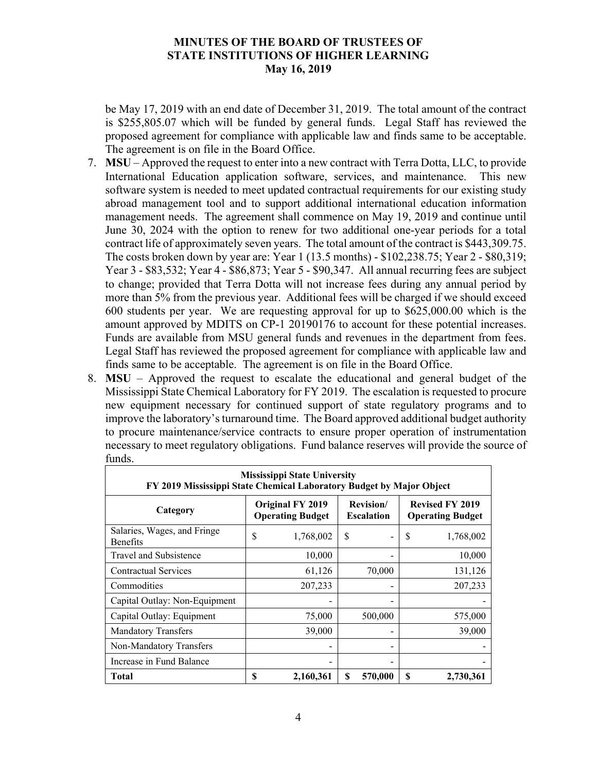be May 17, 2019 with an end date of December 31, 2019. The total amount of the contract is \$255,805.07 which will be funded by general funds. Legal Staff has reviewed the proposed agreement for compliance with applicable law and finds same to be acceptable. The agreement is on file in the Board Office.

- 7. **MSU** Approved the request to enter into a new contract with Terra Dotta, LLC, to provide International Education application software, services, and maintenance. This new software system is needed to meet updated contractual requirements for our existing study abroad management tool and to support additional international education information management needs. The agreement shall commence on May 19, 2019 and continue until June 30, 2024 with the option to renew for two additional one-year periods for a total contract life of approximately seven years. The total amount of the contract is \$443,309.75. The costs broken down by year are: Year 1 (13.5 months) - \$102,238.75; Year 2 - \$80,319; Year 3 - \$83,532; Year 4 - \$86,873; Year 5 - \$90,347. All annual recurring fees are subject to change; provided that Terra Dotta will not increase fees during any annual period by more than 5% from the previous year. Additional fees will be charged if we should exceed 600 students per year. We are requesting approval for up to \$625,000.00 which is the amount approved by MDITS on CP-1 20190176 to account for these potential increases. Funds are available from MSU general funds and revenues in the department from fees. Legal Staff has reviewed the proposed agreement for compliance with applicable law and finds same to be acceptable. The agreement is on file in the Board Office.
- 8. **MSU** Approved the request to escalate the educational and general budget of the Mississippi State Chemical Laboratory for FY 2019. The escalation is requested to procure new equipment necessary for continued support of state regulatory programs and to improve the laboratory's turnaround time. The Board approved additional budget authority to procure maintenance/service contracts to ensure proper operation of instrumentation necessary to meet regulatory obligations. Fund balance reserves will provide the source of funds.

| <b>Mississippi State University</b><br>FY 2019 Mississippi State Chemical Laboratory Budget by Major Object |                                             |           |                                        |                          |                                                   |           |
|-------------------------------------------------------------------------------------------------------------|---------------------------------------------|-----------|----------------------------------------|--------------------------|---------------------------------------------------|-----------|
| Category                                                                                                    | Original FY 2019<br><b>Operating Budget</b> |           | <b>Revision</b> /<br><b>Escalation</b> |                          | <b>Revised FY 2019</b><br><b>Operating Budget</b> |           |
| Salaries, Wages, and Fringe<br><b>Benefits</b>                                                              | \$                                          | 1,768,002 | \$                                     | -                        | \$                                                | 1,768,002 |
| Travel and Subsistence                                                                                      |                                             | 10,000    |                                        | $\qquad \qquad$          |                                                   | 10,000    |
| <b>Contractual Services</b>                                                                                 |                                             | 61,126    |                                        | 70,000                   |                                                   | 131,126   |
| Commodities                                                                                                 |                                             | 207,233   |                                        |                          |                                                   | 207,233   |
| Capital Outlay: Non-Equipment                                                                               |                                             |           |                                        |                          |                                                   |           |
| Capital Outlay: Equipment                                                                                   |                                             | 75,000    |                                        | 500,000                  |                                                   | 575,000   |
| <b>Mandatory Transfers</b>                                                                                  |                                             | 39,000    |                                        |                          |                                                   | 39,000    |
| Non-Mandatory Transfers                                                                                     |                                             |           |                                        | $\overline{\phantom{a}}$ |                                                   |           |
| Increase in Fund Balance                                                                                    |                                             |           |                                        | $\overline{\phantom{a}}$ |                                                   |           |
| Total                                                                                                       | \$                                          | 2,160,361 | S                                      | 570,000                  | S                                                 | 2,730,361 |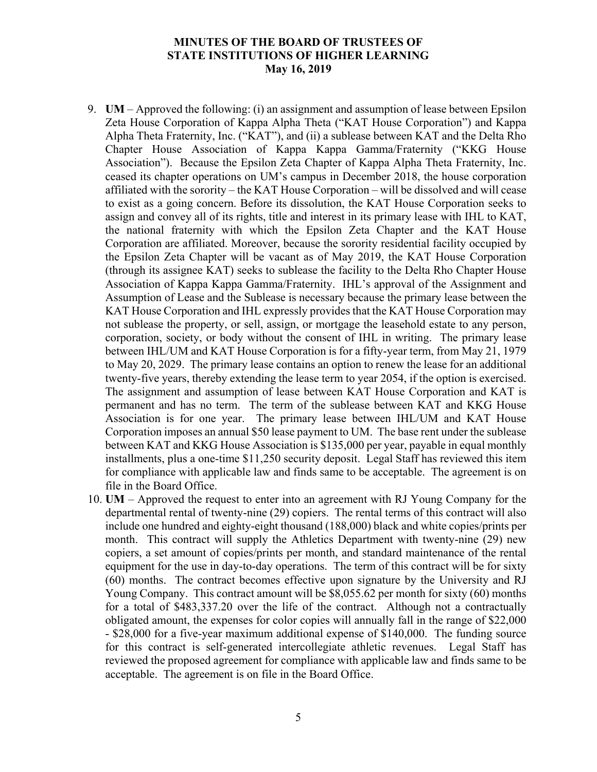- 9. **UM** Approved the following: (i) an assignment and assumption of lease between Epsilon Zeta House Corporation of Kappa Alpha Theta ("KAT House Corporation") and Kappa Alpha Theta Fraternity, Inc. ("KAT"), and (ii) a sublease between KAT and the Delta Rho Chapter House Association of Kappa Kappa Gamma/Fraternity ("KKG House Association"). Because the Epsilon Zeta Chapter of Kappa Alpha Theta Fraternity, Inc. ceased its chapter operations on UM's campus in December 2018, the house corporation affiliated with the sorority – the KAT House Corporation – will be dissolved and will cease to exist as a going concern. Before its dissolution, the KAT House Corporation seeks to assign and convey all of its rights, title and interest in its primary lease with IHL to KAT, the national fraternity with which the Epsilon Zeta Chapter and the KAT House Corporation are affiliated. Moreover, because the sorority residential facility occupied by the Epsilon Zeta Chapter will be vacant as of May 2019, the KAT House Corporation (through its assignee KAT) seeks to sublease the facility to the Delta Rho Chapter House Association of Kappa Kappa Gamma/Fraternity. IHL's approval of the Assignment and Assumption of Lease and the Sublease is necessary because the primary lease between the KAT House Corporation and IHL expressly provides that the KAT House Corporation may not sublease the property, or sell, assign, or mortgage the leasehold estate to any person, corporation, society, or body without the consent of IHL in writing. The primary lease between IHL/UM and KAT House Corporation is for a fifty-year term, from May 21, 1979 to May 20, 2029. The primary lease contains an option to renew the lease for an additional twenty-five years, thereby extending the lease term to year 2054, if the option is exercised. The assignment and assumption of lease between KAT House Corporation and KAT is permanent and has no term. The term of the sublease between KAT and KKG House Association is for one year. The primary lease between IHL/UM and KAT House Corporation imposes an annual \$50 lease payment to UM. The base rent under the sublease between KAT and KKG House Association is \$135,000 per year, payable in equal monthly installments, plus a one-time \$11,250 security deposit. Legal Staff has reviewed this item for compliance with applicable law and finds same to be acceptable. The agreement is on file in the Board Office.
- 10. **UM** Approved the request to enter into an agreement with RJ Young Company for the departmental rental of twenty-nine (29) copiers. The rental terms of this contract will also include one hundred and eighty-eight thousand (188,000) black and white copies/prints per month. This contract will supply the Athletics Department with twenty-nine (29) new copiers, a set amount of copies/prints per month, and standard maintenance of the rental equipment for the use in day-to-day operations. The term of this contract will be for sixty (60) months. The contract becomes effective upon signature by the University and RJ Young Company. This contract amount will be \$8,055.62 per month for sixty (60) months for a total of \$483,337.20 over the life of the contract. Although not a contractually obligated amount, the expenses for color copies will annually fall in the range of \$22,000 - \$28,000 for a five-year maximum additional expense of \$140,000. The funding source for this contract is self-generated intercollegiate athletic revenues. Legal Staff has reviewed the proposed agreement for compliance with applicable law and finds same to be acceptable. The agreement is on file in the Board Office.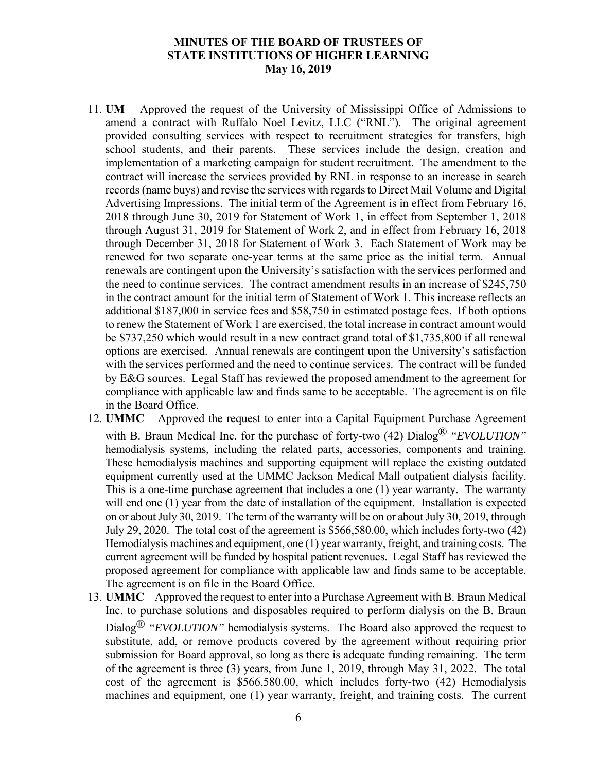- 11. **UM** Approved the request of the University of Mississippi Office of Admissions to amend a contract with Ruffalo Noel Levitz, LLC ("RNL"). The original agreement provided consulting services with respect to recruitment strategies for transfers, high school students, and their parents. These services include the design, creation and implementation of a marketing campaign for student recruitment. The amendment to the contract will increase the services provided by RNL in response to an increase in search records (name buys) and revise the services with regards to Direct Mail Volume and Digital Advertising Impressions. The initial term of the Agreement is in effect from February 16, 2018 through June 30, 2019 for Statement of Work 1, in effect from September 1, 2018 through August 31, 2019 for Statement of Work 2, and in effect from February 16, 2018 through December 31, 2018 for Statement of Work 3. Each Statement of Work may be renewed for two separate one-year terms at the same price as the initial term. Annual renewals are contingent upon the University's satisfaction with the services performed and the need to continue services. The contract amendment results in an increase of \$245,750 in the contract amount for the initial term of Statement of Work 1. This increase reflects an additional \$187,000 in service fees and \$58,750 in estimated postage fees. If both options to renew the Statement of Work 1 are exercised, the total increase in contract amount would be \$737,250 which would result in a new contract grand total of \$1,735,800 if all renewal options are exercised. Annual renewals are contingent upon the University's satisfaction with the services performed and the need to continue services. The contract will be funded by E&G sources. Legal Staff has reviewed the proposed amendment to the agreement for compliance with applicable law and finds same to be acceptable. The agreement is on file in the Board Office.
- 12. **UMMC** Approved the request to enter into a Capital Equipment Purchase Agreement with B. Braun Medical Inc. for the purchase of forty-two (42) Dialog<sup>®</sup> "EVOLUTION" hemodialysis systems, including the related parts, accessories, components and training. These hemodialysis machines and supporting equipment will replace the existing outdated equipment currently used at the UMMC Jackson Medical Mall outpatient dialysis facility. This is a one-time purchase agreement that includes a one (1) year warranty. The warranty will end one (1) year from the date of installation of the equipment. Installation is expected on or about July 30, 2019. The term of the warranty will be on or about July 30, 2019, through July 29, 2020. The total cost of the agreement is \$566,580.00, which includes forty-two (42) Hemodialysis machines and equipment, one (1) year warranty, freight, and training costs. The current agreement will be funded by hospital patient revenues. Legal Staff has reviewed the proposed agreement for compliance with applicable law and finds same to be acceptable. The agreement is on file in the Board Office.
- 13. **UMMC** Approved the request to enter into a Purchase Agreement with B. Braun Medical Inc. to purchase solutions and disposables required to perform dialysis on the B. Braun Dialog® *"EVOLUTION"* hemodialysis systems. The Board also approved the request to substitute, add, or remove products covered by the agreement without requiring prior submission for Board approval, so long as there is adequate funding remaining. The term of the agreement is three (3) years, from June 1, 2019, through May 31, 2022. The total cost of the agreement is \$566,580.00, which includes forty-two (42) Hemodialysis machines and equipment, one (1) year warranty, freight, and training costs. The current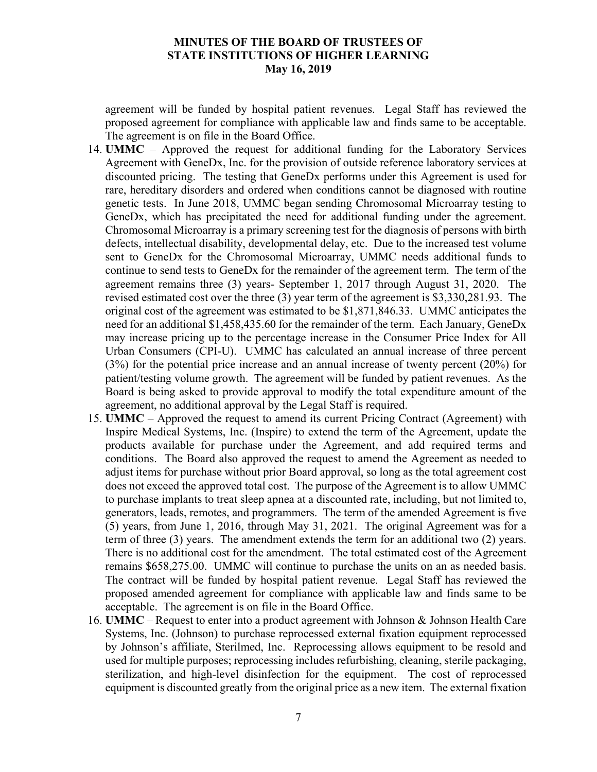agreement will be funded by hospital patient revenues. Legal Staff has reviewed the proposed agreement for compliance with applicable law and finds same to be acceptable. The agreement is on file in the Board Office.

- 14. **UMMC** Approved the request for additional funding for the Laboratory Services Agreement with GeneDx, Inc. for the provision of outside reference laboratory services at discounted pricing. The testing that GeneDx performs under this Agreement is used for rare, hereditary disorders and ordered when conditions cannot be diagnosed with routine genetic tests. In June 2018, UMMC began sending Chromosomal Microarray testing to GeneDx, which has precipitated the need for additional funding under the agreement. Chromosomal Microarray is a primary screening test for the diagnosis of persons with birth defects, intellectual disability, developmental delay, etc. Due to the increased test volume sent to GeneDx for the Chromosomal Microarray, UMMC needs additional funds to continue to send tests to GeneDx for the remainder of the agreement term. The term of the agreement remains three (3) years- September 1, 2017 through August 31, 2020. The revised estimated cost over the three (3) year term of the agreement is \$3,330,281.93. The original cost of the agreement was estimated to be \$1,871,846.33. UMMC anticipates the need for an additional \$1,458,435.60 for the remainder of the term. Each January, GeneDx may increase pricing up to the percentage increase in the Consumer Price Index for All Urban Consumers (CPI-U). UMMC has calculated an annual increase of three percent (3%) for the potential price increase and an annual increase of twenty percent (20%) for patient/testing volume growth. The agreement will be funded by patient revenues. As the Board is being asked to provide approval to modify the total expenditure amount of the agreement, no additional approval by the Legal Staff is required.
- 15. **UMMC** Approved the request to amend its current Pricing Contract (Agreement) with Inspire Medical Systems, Inc. (Inspire) to extend the term of the Agreement, update the products available for purchase under the Agreement, and add required terms and conditions. The Board also approved the request to amend the Agreement as needed to adjust items for purchase without prior Board approval, so long as the total agreement cost does not exceed the approved total cost. The purpose of the Agreement is to allow UMMC to purchase implants to treat sleep apnea at a discounted rate, including, but not limited to, generators, leads, remotes, and programmers. The term of the amended Agreement is five (5) years, from June 1, 2016, through May 31, 2021. The original Agreement was for a term of three (3) years. The amendment extends the term for an additional two (2) years. There is no additional cost for the amendment. The total estimated cost of the Agreement remains \$658,275.00. UMMC will continue to purchase the units on an as needed basis. The contract will be funded by hospital patient revenue. Legal Staff has reviewed the proposed amended agreement for compliance with applicable law and finds same to be acceptable. The agreement is on file in the Board Office.
- 16. **UMMC** Request to enter into a product agreement with Johnson & Johnson Health Care Systems, Inc. (Johnson) to purchase reprocessed external fixation equipment reprocessed by Johnson's affiliate, Sterilmed, Inc. Reprocessing allows equipment to be resold and used for multiple purposes; reprocessing includes refurbishing, cleaning, sterile packaging, sterilization, and high-level disinfection for the equipment. The cost of reprocessed equipment is discounted greatly from the original price as a new item. The external fixation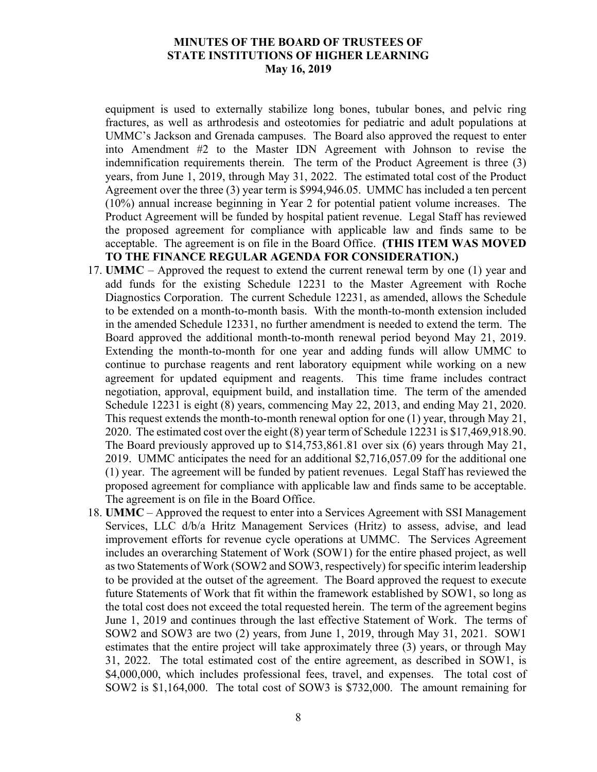equipment is used to externally stabilize long bones, tubular bones, and pelvic ring fractures, as well as arthrodesis and osteotomies for pediatric and adult populations at UMMC's Jackson and Grenada campuses. The Board also approved the request to enter into Amendment #2 to the Master IDN Agreement with Johnson to revise the indemnification requirements therein. The term of the Product Agreement is three (3) years, from June 1, 2019, through May 31, 2022. The estimated total cost of the Product Agreement over the three (3) year term is \$994,946.05. UMMC has included a ten percent (10%) annual increase beginning in Year 2 for potential patient volume increases. The Product Agreement will be funded by hospital patient revenue. Legal Staff has reviewed the proposed agreement for compliance with applicable law and finds same to be acceptable. The agreement is on file in the Board Office. **(THIS ITEM WAS MOVED TO THE FINANCE REGULAR AGENDA FOR CONSIDERATION.)**

- 17. **UMMC** Approved the request to extend the current renewal term by one (1) year and add funds for the existing Schedule 12231 to the Master Agreement with Roche Diagnostics Corporation. The current Schedule 12231, as amended, allows the Schedule to be extended on a month-to-month basis. With the month-to-month extension included in the amended Schedule 12331, no further amendment is needed to extend the term. The Board approved the additional month-to-month renewal period beyond May 21, 2019. Extending the month-to-month for one year and adding funds will allow UMMC to continue to purchase reagents and rent laboratory equipment while working on a new agreement for updated equipment and reagents. This time frame includes contract negotiation, approval, equipment build, and installation time. The term of the amended Schedule 12231 is eight (8) years, commencing May 22, 2013, and ending May 21, 2020. This request extends the month-to-month renewal option for one (1) year, through May 21, 2020. The estimated cost over the eight (8) year term of Schedule 12231 is \$17,469,918.90. The Board previously approved up to \$14,753,861.81 over six (6) years through May 21, 2019. UMMC anticipates the need for an additional \$2,716,057.09 for the additional one (1) year. The agreement will be funded by patient revenues. Legal Staff has reviewed the proposed agreement for compliance with applicable law and finds same to be acceptable. The agreement is on file in the Board Office.
- 18. **UMMC** Approved the request to enter into a Services Agreement with SSI Management Services, LLC d/b/a Hritz Management Services (Hritz) to assess, advise, and lead improvement efforts for revenue cycle operations at UMMC. The Services Agreement includes an overarching Statement of Work (SOW1) for the entire phased project, as well as two Statements of Work (SOW2 and SOW3, respectively) for specific interim leadership to be provided at the outset of the agreement. The Board approved the request to execute future Statements of Work that fit within the framework established by SOW1, so long as the total cost does not exceed the total requested herein. The term of the agreement begins June 1, 2019 and continues through the last effective Statement of Work. The terms of SOW2 and SOW3 are two (2) years, from June 1, 2019, through May 31, 2021. SOW1 estimates that the entire project will take approximately three (3) years, or through May 31, 2022. The total estimated cost of the entire agreement, as described in SOW1, is \$4,000,000, which includes professional fees, travel, and expenses. The total cost of SOW2 is \$1,164,000. The total cost of SOW3 is \$732,000. The amount remaining for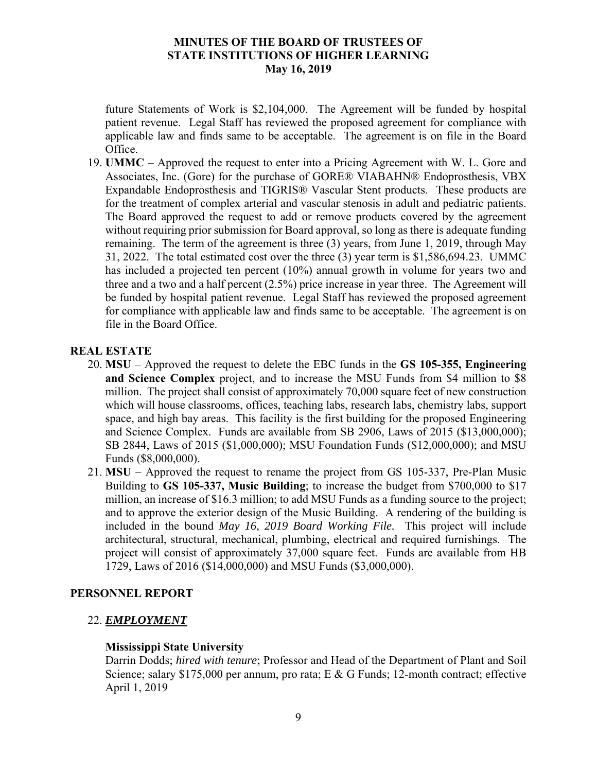future Statements of Work is \$2,104,000. The Agreement will be funded by hospital patient revenue. Legal Staff has reviewed the proposed agreement for compliance with applicable law and finds same to be acceptable. The agreement is on file in the Board Office.

19. **UMMC** – Approved the request to enter into a Pricing Agreement with W. L. Gore and Associates, Inc. (Gore) for the purchase of GORE® VIABAHN® Endoprosthesis, VBX Expandable Endoprosthesis and TIGRIS® Vascular Stent products. These products are for the treatment of complex arterial and vascular stenosis in adult and pediatric patients. The Board approved the request to add or remove products covered by the agreement without requiring prior submission for Board approval, so long as there is adequate funding remaining. The term of the agreement is three (3) years, from June 1, 2019, through May 31, 2022. The total estimated cost over the three (3) year term is \$1,586,694.23. UMMC has included a projected ten percent (10%) annual growth in volume for years two and three and a two and a half percent (2.5%) price increase in year three. The Agreement will be funded by hospital patient revenue. Legal Staff has reviewed the proposed agreement for compliance with applicable law and finds same to be acceptable. The agreement is on file in the Board Office.

# **REAL ESTATE**

- 20. **MSU** Approved the request to delete the EBC funds in the **GS 105-355, Engineering and Science Complex** project, and to increase the MSU Funds from \$4 million to \$8 million. The project shall consist of approximately 70,000 square feet of new construction which will house classrooms, offices, teaching labs, research labs, chemistry labs, support space, and high bay areas. This facility is the first building for the proposed Engineering and Science Complex. Funds are available from SB 2906, Laws of 2015 (\$13,000,000); SB 2844, Laws of 2015 (\$1,000,000); MSU Foundation Funds (\$12,000,000); and MSU Funds (\$8,000,000).
- 21. **MSU** Approved the request to rename the project from GS 105-337, Pre-Plan Music Building to **GS 105-337, Music Building**; to increase the budget from \$700,000 to \$17 million, an increase of \$16.3 million; to add MSU Funds as a funding source to the project; and to approve the exterior design of the Music Building. A rendering of the building is included in the bound *May 16, 2019 Board Working File.* This project will include architectural, structural, mechanical, plumbing, electrical and required furnishings. The project will consist of approximately 37,000 square feet. Funds are available from HB 1729, Laws of 2016 (\$14,000,000) and MSU Funds (\$3,000,000).

## **PERSONNEL REPORT**

# 22. *EMPLOYMENT*

## **Mississippi State University**

Darrin Dodds; *hired with tenure*; Professor and Head of the Department of Plant and Soil Science; salary \$175,000 per annum, pro rata; E & G Funds; 12-month contract; effective April 1, 2019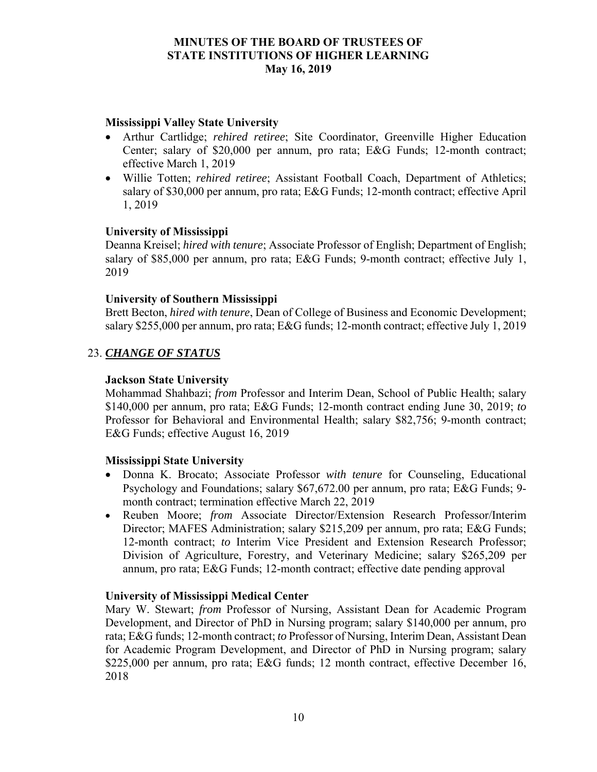## **Mississippi Valley State University**

- Arthur Cartlidge; *rehired retiree*; Site Coordinator, Greenville Higher Education Center; salary of \$20,000 per annum, pro rata; E&G Funds; 12-month contract; effective March 1, 2019
- Willie Totten; *rehired retiree*; Assistant Football Coach, Department of Athletics; salary of \$30,000 per annum, pro rata; E&G Funds; 12-month contract; effective April 1, 2019

### **University of Mississippi**

Deanna Kreisel; *hired with tenure*; Associate Professor of English; Department of English; salary of \$85,000 per annum, pro rata; E&G Funds; 9-month contract; effective July 1, 2019

### **University of Southern Mississippi**

Brett Becton, *hired with tenure*, Dean of College of Business and Economic Development; salary \$255,000 per annum, pro rata; E&G funds; 12-month contract; effective July 1, 2019

### 23. *CHANGE OF STATUS*

#### **Jackson State University**

Mohammad Shahbazi; *from* Professor and Interim Dean, School of Public Health; salary \$140,000 per annum, pro rata; E&G Funds; 12-month contract ending June 30, 2019; *to* Professor for Behavioral and Environmental Health; salary \$82,756; 9-month contract; E&G Funds; effective August 16, 2019

#### **Mississippi State University**

- Donna K. Brocato; Associate Professor *with tenure* for Counseling, Educational Psychology and Foundations; salary \$67,672.00 per annum, pro rata; E&G Funds; 9 month contract; termination effective March 22, 2019
- Reuben Moore; *from* Associate Director/Extension Research Professor/Interim Director; MAFES Administration; salary \$215,209 per annum, pro rata; E&G Funds; 12-month contract; *to* Interim Vice President and Extension Research Professor; Division of Agriculture, Forestry, and Veterinary Medicine; salary \$265,209 per annum, pro rata; E&G Funds; 12-month contract; effective date pending approval

#### **University of Mississippi Medical Center**

Mary W. Stewart; *from* Professor of Nursing, Assistant Dean for Academic Program Development, and Director of PhD in Nursing program; salary \$140,000 per annum, pro rata; E&G funds; 12-month contract; *to* Professor of Nursing, Interim Dean, Assistant Dean for Academic Program Development, and Director of PhD in Nursing program; salary \$225,000 per annum, pro rata; E&G funds; 12 month contract, effective December 16, 2018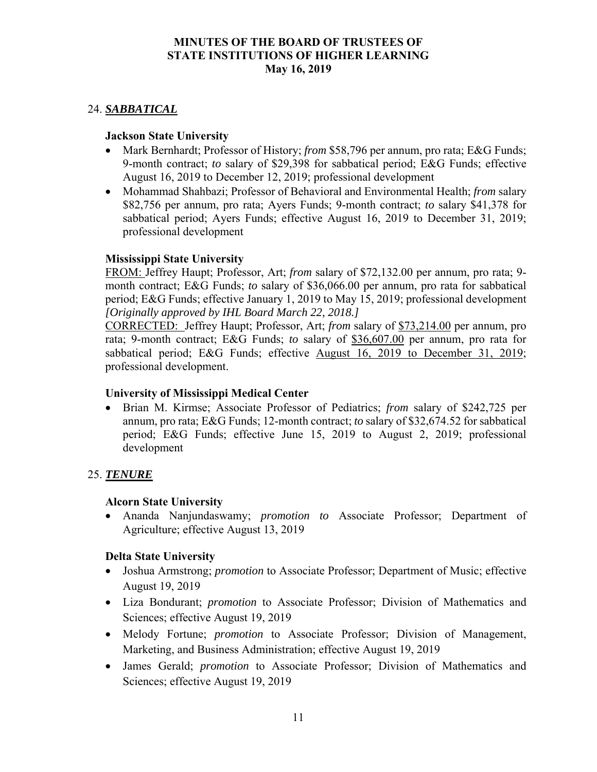## 24. *SABBATICAL*

## **Jackson State University**

- Mark Bernhardt; Professor of History; *from* \$58,796 per annum, pro rata; E&G Funds; 9-month contract; *to* salary of \$29,398 for sabbatical period; E&G Funds; effective August 16, 2019 to December 12, 2019; professional development
- Mohammad Shahbazi; Professor of Behavioral and Environmental Health; *from* salary \$82,756 per annum, pro rata; Ayers Funds; 9-month contract; *to* salary \$41,378 for sabbatical period; Ayers Funds; effective August 16, 2019 to December 31, 2019; professional development

## **Mississippi State University**

FROM: Jeffrey Haupt; Professor, Art; *from* salary of \$72,132.00 per annum, pro rata; 9 month contract; E&G Funds; *to* salary of \$36,066.00 per annum, pro rata for sabbatical period; E&G Funds; effective January 1, 2019 to May 15, 2019; professional development *[Originally approved by IHL Board March 22, 2018.]*

CORRECTED: Jeffrey Haupt; Professor, Art; *from* salary of \$73,214.00 per annum, pro rata; 9-month contract; E&G Funds; *to* salary of \$36,607.00 per annum, pro rata for sabbatical period; E&G Funds; effective August 16, 2019 to December 31, 2019; professional development.

## **University of Mississippi Medical Center**

 Brian M. Kirmse; Associate Professor of Pediatrics; *from* salary of \$242,725 per annum, pro rata; E&G Funds; 12-month contract; *to* salary of \$32,674.52 for sabbatical period; E&G Funds; effective June 15, 2019 to August 2, 2019; professional development

# 25. *TENURE*

## **Alcorn State University**

 Ananda Nanjundaswamy; *promotion to* Associate Professor; Department of Agriculture; effective August 13, 2019

## **Delta State University**

- Joshua Armstrong; *promotion* to Associate Professor; Department of Music; effective August 19, 2019
- Liza Bondurant; *promotion* to Associate Professor; Division of Mathematics and Sciences; effective August 19, 2019
- Melody Fortune; *promotion* to Associate Professor; Division of Management, Marketing, and Business Administration; effective August 19, 2019
- James Gerald; *promotion* to Associate Professor; Division of Mathematics and Sciences; effective August 19, 2019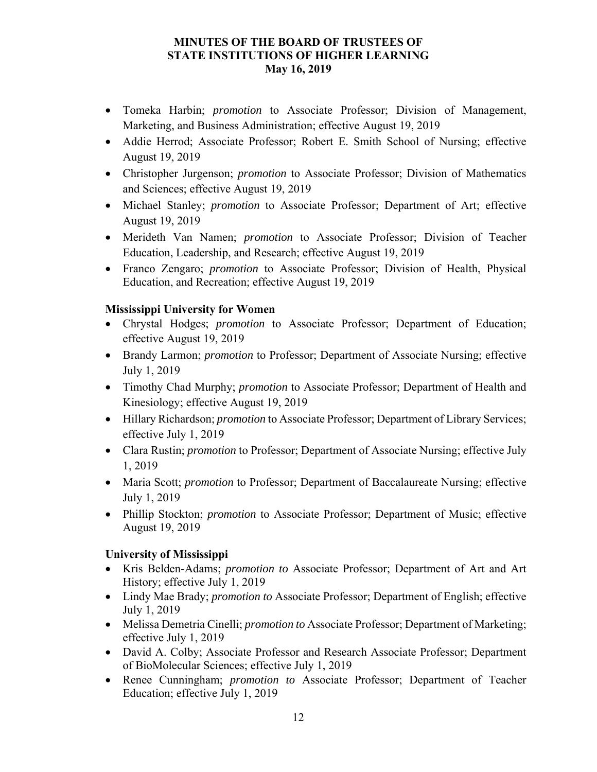- Tomeka Harbin; *promotion* to Associate Professor; Division of Management, Marketing, and Business Administration; effective August 19, 2019
- Addie Herrod; Associate Professor; Robert E. Smith School of Nursing; effective August 19, 2019
- Christopher Jurgenson; *promotion* to Associate Professor; Division of Mathematics and Sciences; effective August 19, 2019
- Michael Stanley; *promotion* to Associate Professor; Department of Art; effective August 19, 2019
- Merideth Van Namen; *promotion* to Associate Professor; Division of Teacher Education, Leadership, and Research; effective August 19, 2019
- Franco Zengaro; *promotion* to Associate Professor; Division of Health, Physical Education, and Recreation; effective August 19, 2019

# **Mississippi University for Women**

- Chrystal Hodges; *promotion* to Associate Professor; Department of Education; effective August 19, 2019
- Brandy Larmon; *promotion* to Professor; Department of Associate Nursing; effective July 1, 2019
- Timothy Chad Murphy; *promotion* to Associate Professor; Department of Health and Kinesiology; effective August 19, 2019
- Hillary Richardson; *promotion* to Associate Professor; Department of Library Services; effective July 1, 2019
- Clara Rustin; *promotion* to Professor; Department of Associate Nursing; effective July 1, 2019
- Maria Scott; *promotion* to Professor; Department of Baccalaureate Nursing; effective July 1, 2019
- Phillip Stockton; *promotion* to Associate Professor; Department of Music; effective August 19, 2019

# **University of Mississippi**

- Kris Belden-Adams; *promotion to* Associate Professor; Department of Art and Art History; effective July 1, 2019
- Lindy Mae Brady; *promotion to* Associate Professor; Department of English; effective July 1, 2019
- Melissa Demetria Cinelli; *promotion to* Associate Professor; Department of Marketing; effective July 1, 2019
- David A. Colby; Associate Professor and Research Associate Professor; Department of BioMolecular Sciences; effective July 1, 2019
- Renee Cunningham; *promotion to* Associate Professor; Department of Teacher Education; effective July 1, 2019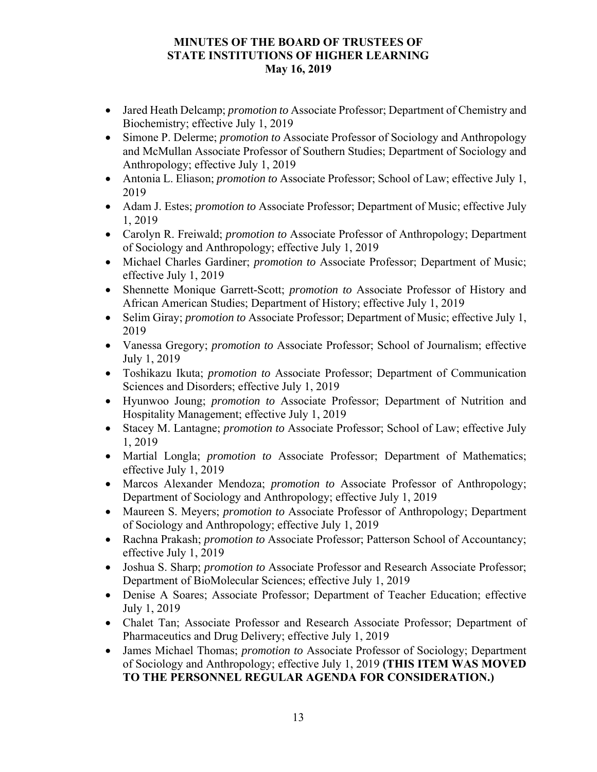- Jared Heath Delcamp; *promotion to* Associate Professor; Department of Chemistry and Biochemistry; effective July 1, 2019
- Simone P. Delerme; *promotion to* Associate Professor of Sociology and Anthropology and McMullan Associate Professor of Southern Studies; Department of Sociology and Anthropology; effective July 1, 2019
- Antonia L. Eliason; *promotion to* Associate Professor; School of Law; effective July 1, 2019
- Adam J. Estes; *promotion to* Associate Professor; Department of Music; effective July 1, 2019
- Carolyn R. Freiwald; *promotion to* Associate Professor of Anthropology; Department of Sociology and Anthropology; effective July 1, 2019
- Michael Charles Gardiner; *promotion to* Associate Professor; Department of Music; effective July 1, 2019
- Shennette Monique Garrett-Scott; *promotion to* Associate Professor of History and African American Studies; Department of History; effective July 1, 2019
- Selim Giray; *promotion to* Associate Professor; Department of Music; effective July 1, 2019
- Vanessa Gregory; *promotion to* Associate Professor; School of Journalism; effective July 1, 2019
- Toshikazu Ikuta; *promotion to* Associate Professor; Department of Communication Sciences and Disorders; effective July 1, 2019
- Hyunwoo Joung; *promotion to* Associate Professor; Department of Nutrition and Hospitality Management; effective July 1, 2019
- Stacey M. Lantagne; *promotion to* Associate Professor; School of Law; effective July 1, 2019
- Martial Longla; *promotion to* Associate Professor; Department of Mathematics; effective July 1, 2019
- Marcos Alexander Mendoza; *promotion to* Associate Professor of Anthropology; Department of Sociology and Anthropology; effective July 1, 2019
- Maureen S. Meyers; *promotion to* Associate Professor of Anthropology; Department of Sociology and Anthropology; effective July 1, 2019
- Rachna Prakash; *promotion to* Associate Professor; Patterson School of Accountancy; effective July 1, 2019
- Joshua S. Sharp; *promotion to* Associate Professor and Research Associate Professor; Department of BioMolecular Sciences; effective July 1, 2019
- Denise A Soares; Associate Professor; Department of Teacher Education; effective July 1, 2019
- Chalet Tan; Associate Professor and Research Associate Professor; Department of Pharmaceutics and Drug Delivery; effective July 1, 2019
- James Michael Thomas; *promotion to* Associate Professor of Sociology; Department of Sociology and Anthropology; effective July 1, 2019 **(THIS ITEM WAS MOVED TO THE PERSONNEL REGULAR AGENDA FOR CONSIDERATION.)**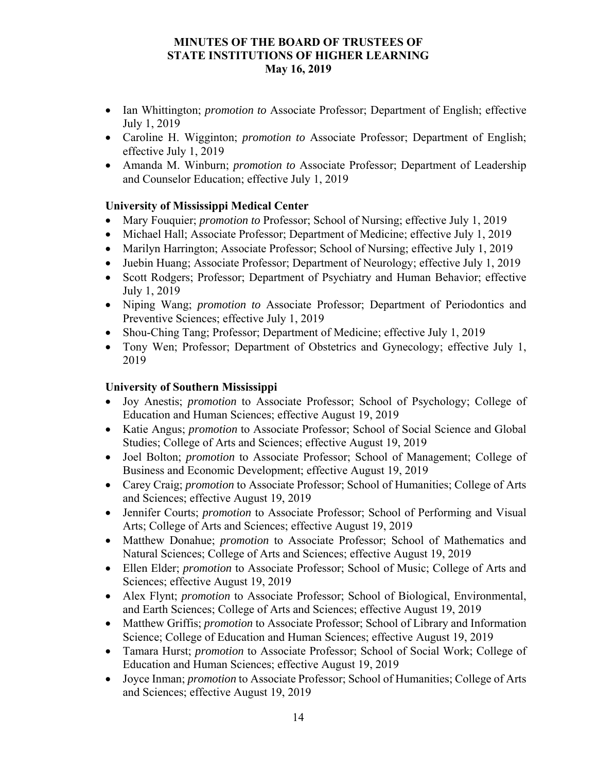- Ian Whittington; *promotion to* Associate Professor; Department of English; effective July 1, 2019
- Caroline H. Wigginton; *promotion to* Associate Professor; Department of English; effective July 1, 2019
- Amanda M. Winburn; *promotion to* Associate Professor; Department of Leadership and Counselor Education; effective July 1, 2019

# **University of Mississippi Medical Center**

- Mary Fouquier; *promotion to* Professor; School of Nursing; effective July 1, 2019
- Michael Hall; Associate Professor; Department of Medicine; effective July 1, 2019
- Marilyn Harrington; Associate Professor; School of Nursing; effective July 1, 2019
- Juebin Huang; Associate Professor; Department of Neurology; effective July 1, 2019
- Scott Rodgers; Professor; Department of Psychiatry and Human Behavior; effective July 1, 2019
- Niping Wang; *promotion to* Associate Professor; Department of Periodontics and Preventive Sciences; effective July 1, 2019
- Shou-Ching Tang; Professor; Department of Medicine; effective July 1, 2019
- Tony Wen; Professor; Department of Obstetrics and Gynecology; effective July 1, 2019

# **University of Southern Mississippi**

- Joy Anestis; *promotion* to Associate Professor; School of Psychology; College of Education and Human Sciences; effective August 19, 2019
- Katie Angus; *promotion* to Associate Professor; School of Social Science and Global Studies; College of Arts and Sciences; effective August 19, 2019
- Joel Bolton; *promotion* to Associate Professor; School of Management; College of Business and Economic Development; effective August 19, 2019
- Carey Craig; *promotion* to Associate Professor; School of Humanities; College of Arts and Sciences; effective August 19, 2019
- Jennifer Courts; *promotion* to Associate Professor; School of Performing and Visual Arts; College of Arts and Sciences; effective August 19, 2019
- Matthew Donahue; *promotion* to Associate Professor; School of Mathematics and Natural Sciences; College of Arts and Sciences; effective August 19, 2019
- Ellen Elder; *promotion* to Associate Professor; School of Music; College of Arts and Sciences; effective August 19, 2019
- Alex Flynt; *promotion* to Associate Professor; School of Biological, Environmental, and Earth Sciences; College of Arts and Sciences; effective August 19, 2019
- Matthew Griffis; *promotion* to Associate Professor; School of Library and Information Science; College of Education and Human Sciences; effective August 19, 2019
- Tamara Hurst; *promotion* to Associate Professor; School of Social Work; College of Education and Human Sciences; effective August 19, 2019
- Joyce Inman; *promotion* to Associate Professor; School of Humanities; College of Arts and Sciences; effective August 19, 2019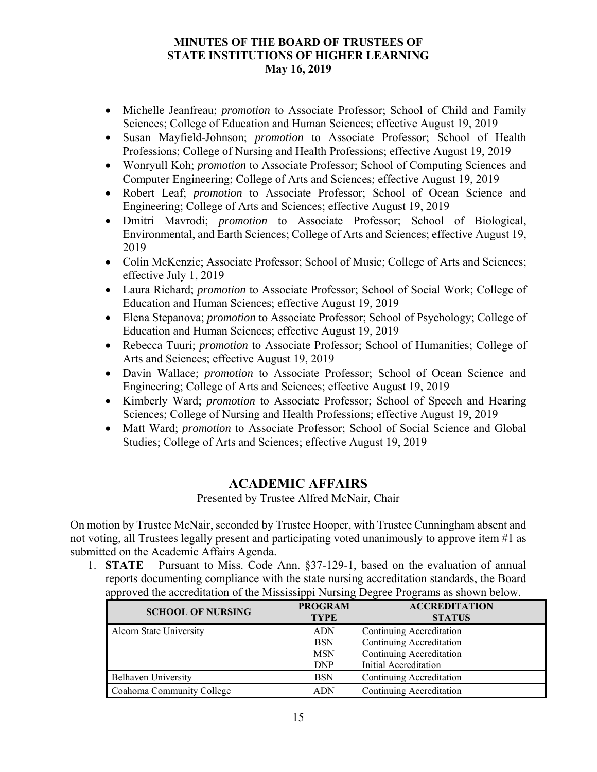- Michelle Jeanfreau; *promotion* to Associate Professor; School of Child and Family Sciences; College of Education and Human Sciences; effective August 19, 2019
- Susan Mayfield-Johnson; *promotion* to Associate Professor; School of Health Professions; College of Nursing and Health Professions; effective August 19, 2019
- Wonryull Koh; *promotion* to Associate Professor; School of Computing Sciences and Computer Engineering; College of Arts and Sciences; effective August 19, 2019
- Robert Leaf; *promotion* to Associate Professor; School of Ocean Science and Engineering; College of Arts and Sciences; effective August 19, 2019
- Dmitri Mavrodi; *promotion* to Associate Professor; School of Biological, Environmental, and Earth Sciences; College of Arts and Sciences; effective August 19, 2019
- Colin McKenzie; Associate Professor; School of Music; College of Arts and Sciences; effective July 1, 2019
- Laura Richard; *promotion* to Associate Professor; School of Social Work; College of Education and Human Sciences; effective August 19, 2019
- Elena Stepanova; *promotion* to Associate Professor; School of Psychology; College of Education and Human Sciences; effective August 19, 2019
- Rebecca Tuuri; *promotion* to Associate Professor; School of Humanities; College of Arts and Sciences; effective August 19, 2019
- Davin Wallace; *promotion* to Associate Professor; School of Ocean Science and Engineering; College of Arts and Sciences; effective August 19, 2019
- Kimberly Ward; *promotion* to Associate Professor; School of Speech and Hearing Sciences; College of Nursing and Health Professions; effective August 19, 2019
- Matt Ward; *promotion* to Associate Professor; School of Social Science and Global Studies; College of Arts and Sciences; effective August 19, 2019

# **ACADEMIC AFFAIRS**

Presented by Trustee Alfred McNair, Chair

On motion by Trustee McNair, seconded by Trustee Hooper, with Trustee Cunningham absent and not voting, all Trustees legally present and participating voted unanimously to approve item #1 as submitted on the Academic Affairs Agenda.

1. **STATE** – Pursuant to Miss. Code Ann. §37-129-1, based on the evaluation of annual reports documenting compliance with the state nursing accreditation standards, the Board approved the accreditation of the Mississippi Nursing Degree Programs as shown below.

| <b>SCHOOL OF NURSING</b>   | <b>PROGRAM</b><br><b>TYPE</b> | <b>ACCREDITATION</b><br><b>STATUS</b> |
|----------------------------|-------------------------------|---------------------------------------|
| Alcorn State University    | <b>ADN</b>                    | Continuing Accreditation              |
|                            | <b>BSN</b>                    | Continuing Accreditation              |
|                            | <b>MSN</b>                    | Continuing Accreditation              |
|                            | <b>DNP</b>                    | Initial Accreditation                 |
| <b>Belhaven University</b> | <b>BSN</b>                    | Continuing Accreditation              |
| Coahoma Community College  | ADN                           | Continuing Accreditation              |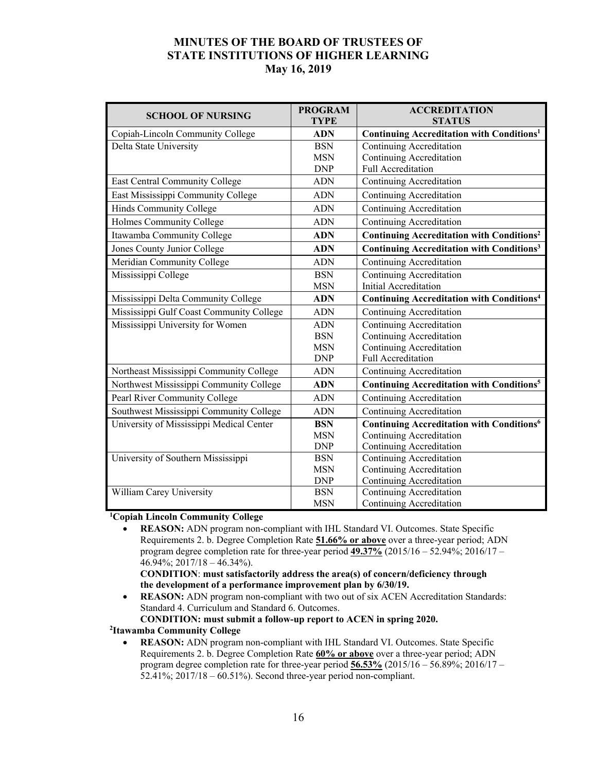| <b>SCHOOL OF NURSING</b>                 | <b>PROGRAM</b> | <b>ACCREDITATION</b>                                         |  |
|------------------------------------------|----------------|--------------------------------------------------------------|--|
|                                          | <b>TYPE</b>    | <b>STATUS</b>                                                |  |
| Copiah-Lincoln Community College         | <b>ADN</b>     | Continuing Accreditation with Conditions <sup>1</sup>        |  |
| Delta State University                   | <b>BSN</b>     | Continuing Accreditation                                     |  |
|                                          | <b>MSN</b>     | <b>Continuing Accreditation</b>                              |  |
|                                          | <b>DNP</b>     | <b>Full Accreditation</b>                                    |  |
| East Central Community College           | <b>ADN</b>     | Continuing Accreditation                                     |  |
| East Mississippi Community College       | <b>ADN</b>     | Continuing Accreditation                                     |  |
| Hinds Community College                  | <b>ADN</b>     | Continuing Accreditation                                     |  |
| Holmes Community College                 | <b>ADN</b>     | <b>Continuing Accreditation</b>                              |  |
| Itawamba Community College               | <b>ADN</b>     | <b>Continuing Accreditation with Conditions<sup>2</sup></b>  |  |
| Jones County Junior College              | <b>ADN</b>     | <b>Continuing Accreditation with Conditions3</b>             |  |
| Meridian Community College               | <b>ADN</b>     | Continuing Accreditation                                     |  |
| Mississippi College                      | <b>BSN</b>     | Continuing Accreditation                                     |  |
|                                          | <b>MSN</b>     | Initial Accreditation                                        |  |
| Mississippi Delta Community College      | <b>ADN</b>     | <b>Continuing Accreditation with Conditions<sup>4</sup></b>  |  |
| Mississippi Gulf Coast Community College | <b>ADN</b>     | <b>Continuing Accreditation</b>                              |  |
| Mississippi University for Women         | <b>ADN</b>     | Continuing Accreditation                                     |  |
|                                          | <b>BSN</b>     | Continuing Accreditation                                     |  |
|                                          | <b>MSN</b>     | <b>Continuing Accreditation</b>                              |  |
|                                          | <b>DNP</b>     | Full Accreditation                                           |  |
| Northeast Mississippi Community College  | <b>ADN</b>     | Continuing Accreditation                                     |  |
| Northwest Mississippi Community College  | <b>ADN</b>     | <b>Continuing Accreditation with Conditions<sup>5</sup></b>  |  |
| Pearl River Community College            | <b>ADN</b>     | Continuing Accreditation                                     |  |
| Southwest Mississippi Community College  | <b>ADN</b>     | <b>Continuing Accreditation</b>                              |  |
| University of Mississippi Medical Center | <b>BSN</b>     | <b>Continuing Accreditation with Conditions</b> <sup>6</sup> |  |
|                                          | <b>MSN</b>     | Continuing Accreditation                                     |  |
|                                          | <b>DNP</b>     | Continuing Accreditation                                     |  |
| University of Southern Mississippi       | <b>BSN</b>     | Continuing Accreditation                                     |  |
|                                          | <b>MSN</b>     | Continuing Accreditation                                     |  |
|                                          | <b>DNP</b>     | Continuing Accreditation                                     |  |
| William Carey University                 | <b>BSN</b>     | Continuing Accreditation                                     |  |
|                                          | <b>MSN</b>     | Continuing Accreditation                                     |  |

#### **1 Copiah Lincoln Community College**

 **REASON:** ADN program non-compliant with IHL Standard VI. Outcomes. State Specific Requirements 2. b. Degree Completion Rate **51.66% or above** over a three-year period; ADN program degree completion rate for three-year period **49.37%** (2015/16 – 52.94%; 2016/17 – 46.94%; 2017/18 – 46.34%).

#### **CONDITION**: **must satisfactorily address the area(s) of concern/deficiency through the development of a performance improvement plan by 6/30/19.**

 **REASON:** ADN program non-compliant with two out of six ACEN Accreditation Standards: Standard 4. Curriculum and Standard 6. Outcomes.

#### **CONDITION: must submit a follow-up report to ACEN in spring 2020. 2**

#### **Itawamba Community College**

 **REASON:** ADN program non-compliant with IHL Standard VI. Outcomes. State Specific Requirements 2. b. Degree Completion Rate **60% or above** over a three-year period; ADN program degree completion rate for three-year period **56.53%** (2015/16 – 56.89%; 2016/17 – 52.41%; 2017/18 – 60.51%). Second three-year period non-compliant.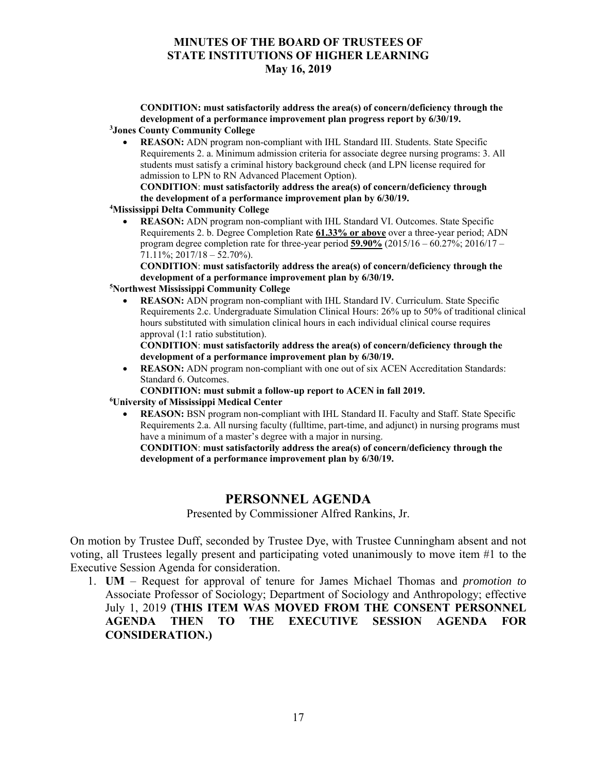**CONDITION: must satisfactorily address the area(s) of concern/deficiency through the development of a performance improvement plan progress report by 6/30/19. 3 Jones County Community College** 

 **REASON:** ADN program non-compliant with IHL Standard III. Students. State Specific Requirements 2. a. Minimum admission criteria for associate degree nursing programs: 3. All students must satisfy a criminal history background check (and LPN license required for admission to LPN to RN Advanced Placement Option).

**CONDITION**: **must satisfactorily address the area(s) of concern/deficiency through the development of a performance improvement plan by 6/30/19. 4**

- **Mississippi Delta Community College** 
	- **REASON:** ADN program non-compliant with IHL Standard VI. Outcomes. State Specific Requirements 2. b. Degree Completion Rate **61.33% or above** over a three-year period; ADN program degree completion rate for three-year period **59.90%** (2015/16 – 60.27%; 2016/17 –  $71.11\%$ ;  $2017/18 - 52.70\%$ ).

**CONDITION**: **must satisfactorily address the area(s) of concern/deficiency through the development of a performance improvement plan by 6/30/19.**

#### **5 Northwest Mississippi Community College**

 **REASON:** ADN program non-compliant with IHL Standard IV. Curriculum. State Specific Requirements 2.c. Undergraduate Simulation Clinical Hours: 26% up to 50% of traditional clinical hours substituted with simulation clinical hours in each individual clinical course requires approval (1:1 ratio substitution).

**CONDITION**: **must satisfactorily address the area(s) of concern/deficiency through the development of a performance improvement plan by 6/30/19.** 

• **REASON:** ADN program non-compliant with one out of six ACEN Accreditation Standards: Standard 6. Outcomes.

**CONDITION: must submit a follow-up report to ACEN in fall 2019.**

#### **6 University of Mississippi Medical Center**

 **REASON:** BSN program non-compliant with IHL Standard II. Faculty and Staff. State Specific Requirements 2.a. All nursing faculty (fulltime, part-time, and adjunct) in nursing programs must have a minimum of a master's degree with a major in nursing.

**CONDITION**: **must satisfactorily address the area(s) of concern/deficiency through the development of a performance improvement plan by 6/30/19.**

# **PERSONNEL AGENDA**

Presented by Commissioner Alfred Rankins, Jr.

On motion by Trustee Duff, seconded by Trustee Dye, with Trustee Cunningham absent and not voting, all Trustees legally present and participating voted unanimously to move item #1 to the Executive Session Agenda for consideration.

1. **UM** – Request for approval of tenure for James Michael Thomas and *promotion to* Associate Professor of Sociology; Department of Sociology and Anthropology; effective July 1, 2019 **(THIS ITEM WAS MOVED FROM THE CONSENT PERSONNEL AGENDA THEN TO THE EXECUTIVE SESSION AGENDA FOR CONSIDERATION.)**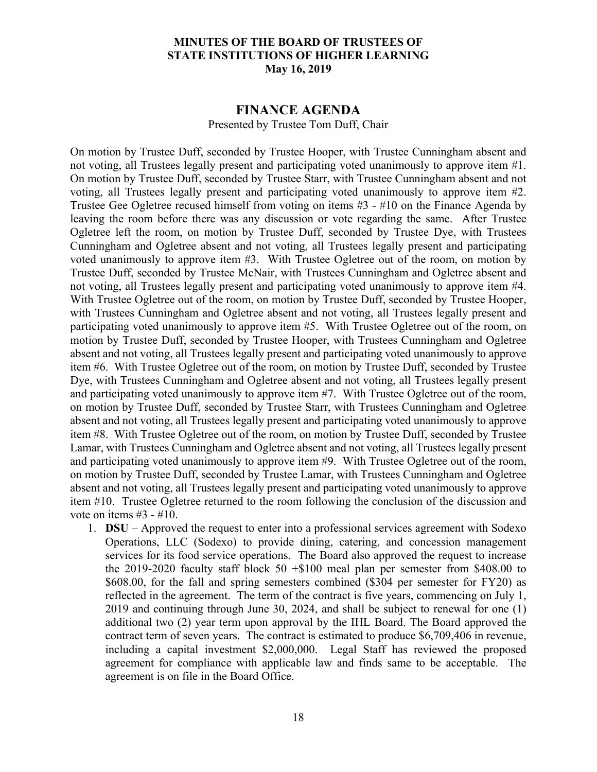#### **FINANCE AGENDA**

Presented by Trustee Tom Duff, Chair

On motion by Trustee Duff, seconded by Trustee Hooper, with Trustee Cunningham absent and not voting, all Trustees legally present and participating voted unanimously to approve item #1. On motion by Trustee Duff, seconded by Trustee Starr, with Trustee Cunningham absent and not voting, all Trustees legally present and participating voted unanimously to approve item #2. Trustee Gee Ogletree recused himself from voting on items #3 - #10 on the Finance Agenda by leaving the room before there was any discussion or vote regarding the same. After Trustee Ogletree left the room, on motion by Trustee Duff, seconded by Trustee Dye, with Trustees Cunningham and Ogletree absent and not voting, all Trustees legally present and participating voted unanimously to approve item #3. With Trustee Ogletree out of the room, on motion by Trustee Duff, seconded by Trustee McNair, with Trustees Cunningham and Ogletree absent and not voting, all Trustees legally present and participating voted unanimously to approve item #4. With Trustee Ogletree out of the room, on motion by Trustee Duff, seconded by Trustee Hooper, with Trustees Cunningham and Ogletree absent and not voting, all Trustees legally present and participating voted unanimously to approve item #5. With Trustee Ogletree out of the room, on motion by Trustee Duff, seconded by Trustee Hooper, with Trustees Cunningham and Ogletree absent and not voting, all Trustees legally present and participating voted unanimously to approve item #6. With Trustee Ogletree out of the room, on motion by Trustee Duff, seconded by Trustee Dye, with Trustees Cunningham and Ogletree absent and not voting, all Trustees legally present and participating voted unanimously to approve item #7. With Trustee Ogletree out of the room, on motion by Trustee Duff, seconded by Trustee Starr, with Trustees Cunningham and Ogletree absent and not voting, all Trustees legally present and participating voted unanimously to approve item #8. With Trustee Ogletree out of the room, on motion by Trustee Duff, seconded by Trustee Lamar, with Trustees Cunningham and Ogletree absent and not voting, all Trustees legally present and participating voted unanimously to approve item #9. With Trustee Ogletree out of the room, on motion by Trustee Duff, seconded by Trustee Lamar, with Trustees Cunningham and Ogletree absent and not voting, all Trustees legally present and participating voted unanimously to approve item #10. Trustee Ogletree returned to the room following the conclusion of the discussion and vote on items #3 - #10.

1. **DSU** – Approved the request to enter into a professional services agreement with Sodexo Operations, LLC (Sodexo) to provide dining, catering, and concession management services for its food service operations. The Board also approved the request to increase the 2019-2020 faculty staff block  $50 + $100$  meal plan per semester from \$408.00 to \$608.00, for the fall and spring semesters combined (\$304 per semester for FY20) as reflected in the agreement. The term of the contract is five years, commencing on July 1, 2019 and continuing through June 30, 2024, and shall be subject to renewal for one (1) additional two (2) year term upon approval by the IHL Board. The Board approved the contract term of seven years. The contract is estimated to produce \$6,709,406 in revenue, including a capital investment \$2,000,000. Legal Staff has reviewed the proposed agreement for compliance with applicable law and finds same to be acceptable. The agreement is on file in the Board Office.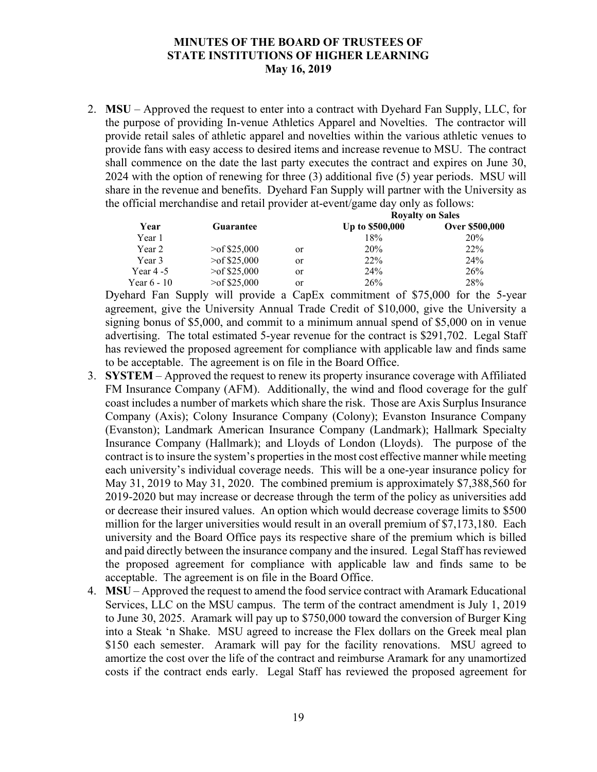2. **MSU** – Approved the request to enter into a contract with Dyehard Fan Supply, LLC, for the purpose of providing In-venue Athletics Apparel and Novelties. The contractor will provide retail sales of athletic apparel and novelties within the various athletic venues to provide fans with easy access to desired items and increase revenue to MSU. The contract shall commence on the date the last party executes the contract and expires on June 30, 2024 with the option of renewing for three (3) additional five (5) year periods. MSU will share in the revenue and benefits. Dyehard Fan Supply will partner with the University as the official merchandise and retail provider at-event/game day only as follows:

|               |                    |    | <b>Royalty on Sales</b> |                 |  |
|---------------|--------------------|----|-------------------------|-----------------|--|
| Year          | Guarantee          |    | Up to \$500,000         | Over \$500,000  |  |
| Year 1        |                    |    | 18%                     | 20%             |  |
| Year 2        | $\geq$ of \$25,000 | or | 20%                     | 22 <sup>%</sup> |  |
| Year 3        | $>$ of \$25,000    | or | 22%                     | 24%             |  |
| Year 4 -5     | $>$ of \$25,000    | or | 24%                     | 26%             |  |
| Year $6 - 10$ | $\geq$ of \$25,000 | or | 26%                     | 28%             |  |

Dyehard Fan Supply will provide a CapEx commitment of \$75,000 for the 5-year agreement, give the University Annual Trade Credit of \$10,000, give the University a signing bonus of \$5,000, and commit to a minimum annual spend of \$5,000 on in venue advertising. The total estimated 5-year revenue for the contract is \$291,702. Legal Staff has reviewed the proposed agreement for compliance with applicable law and finds same to be acceptable. The agreement is on file in the Board Office.

- 3. **SYSTEM** Approved the request to renew its property insurance coverage with Affiliated FM Insurance Company (AFM). Additionally, the wind and flood coverage for the gulf coast includes a number of markets which share the risk. Those are Axis Surplus Insurance Company (Axis); Colony Insurance Company (Colony); Evanston Insurance Company (Evanston); Landmark American Insurance Company (Landmark); Hallmark Specialty Insurance Company (Hallmark); and Lloyds of London (Lloyds). The purpose of the contract is to insure the system's properties in the most cost effective manner while meeting each university's individual coverage needs. This will be a one-year insurance policy for May 31, 2019 to May 31, 2020. The combined premium is approximately \$7,388,560 for 2019-2020 but may increase or decrease through the term of the policy as universities add or decrease their insured values. An option which would decrease coverage limits to \$500 million for the larger universities would result in an overall premium of \$7,173,180. Each university and the Board Office pays its respective share of the premium which is billed and paid directly between the insurance company and the insured. Legal Staff has reviewed the proposed agreement for compliance with applicable law and finds same to be acceptable. The agreement is on file in the Board Office.
- 4. **MSU** Approved the request to amend the food service contract with Aramark Educational Services, LLC on the MSU campus. The term of the contract amendment is July 1, 2019 to June 30, 2025. Aramark will pay up to \$750,000 toward the conversion of Burger King into a Steak 'n Shake. MSU agreed to increase the Flex dollars on the Greek meal plan \$150 each semester. Aramark will pay for the facility renovations. MSU agreed to amortize the cost over the life of the contract and reimburse Aramark for any unamortized costs if the contract ends early. Legal Staff has reviewed the proposed agreement for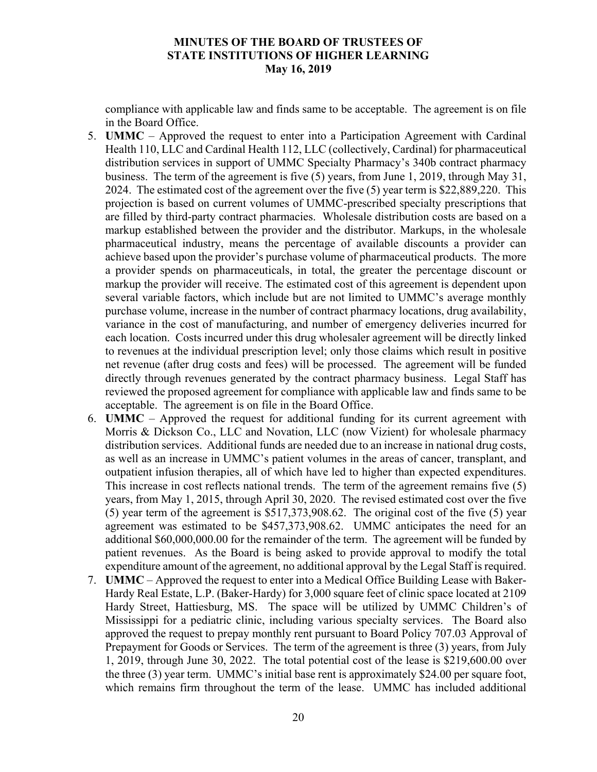compliance with applicable law and finds same to be acceptable. The agreement is on file in the Board Office.

- 5. **UMMC** Approved the request to enter into a Participation Agreement with Cardinal Health 110, LLC and Cardinal Health 112, LLC (collectively, Cardinal) for pharmaceutical distribution services in support of UMMC Specialty Pharmacy's 340b contract pharmacy business. The term of the agreement is five (5) years, from June 1, 2019, through May 31, 2024. The estimated cost of the agreement over the five (5) year term is \$22,889,220. This projection is based on current volumes of UMMC-prescribed specialty prescriptions that are filled by third-party contract pharmacies. Wholesale distribution costs are based on a markup established between the provider and the distributor. Markups, in the wholesale pharmaceutical industry, means the percentage of available discounts a provider can achieve based upon the provider's purchase volume of pharmaceutical products. The more a provider spends on pharmaceuticals, in total, the greater the percentage discount or markup the provider will receive. The estimated cost of this agreement is dependent upon several variable factors, which include but are not limited to UMMC's average monthly purchase volume, increase in the number of contract pharmacy locations, drug availability, variance in the cost of manufacturing, and number of emergency deliveries incurred for each location. Costs incurred under this drug wholesaler agreement will be directly linked to revenues at the individual prescription level; only those claims which result in positive net revenue (after drug costs and fees) will be processed. The agreement will be funded directly through revenues generated by the contract pharmacy business. Legal Staff has reviewed the proposed agreement for compliance with applicable law and finds same to be acceptable. The agreement is on file in the Board Office.
- 6. **UMMC** Approved the request for additional funding for its current agreement with Morris & Dickson Co., LLC and Novation, LLC (now Vizient) for wholesale pharmacy distribution services. Additional funds are needed due to an increase in national drug costs, as well as an increase in UMMC's patient volumes in the areas of cancer, transplant, and outpatient infusion therapies, all of which have led to higher than expected expenditures. This increase in cost reflects national trends. The term of the agreement remains five (5) years, from May 1, 2015, through April 30, 2020. The revised estimated cost over the five (5) year term of the agreement is \$517,373,908.62. The original cost of the five (5) year agreement was estimated to be \$457,373,908.62. UMMC anticipates the need for an additional \$60,000,000.00 for the remainder of the term. The agreement will be funded by patient revenues. As the Board is being asked to provide approval to modify the total expenditure amount of the agreement, no additional approval by the Legal Staff is required.
- 7. **UMMC** Approved the request to enter into a Medical Office Building Lease with Baker-Hardy Real Estate, L.P. (Baker-Hardy) for 3,000 square feet of clinic space located at 2109 Hardy Street, Hattiesburg, MS. The space will be utilized by UMMC Children's of Mississippi for a pediatric clinic, including various specialty services. The Board also approved the request to prepay monthly rent pursuant to Board Policy 707.03 Approval of Prepayment for Goods or Services. The term of the agreement is three (3) years, from July 1, 2019, through June 30, 2022. The total potential cost of the lease is \$219,600.00 over the three (3) year term. UMMC's initial base rent is approximately \$24.00 per square foot, which remains firm throughout the term of the lease. UMMC has included additional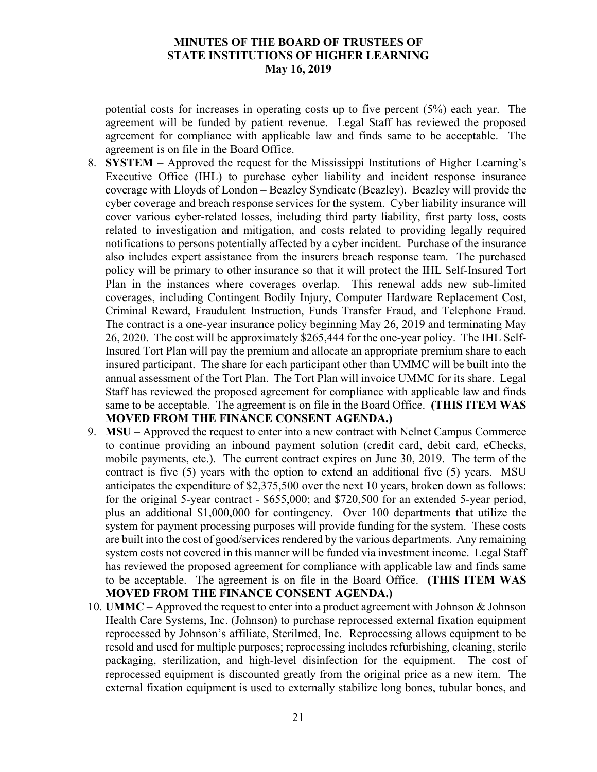potential costs for increases in operating costs up to five percent (5%) each year. The agreement will be funded by patient revenue. Legal Staff has reviewed the proposed agreement for compliance with applicable law and finds same to be acceptable. The agreement is on file in the Board Office.

- 8. **SYSTEM** Approved the request for the Mississippi Institutions of Higher Learning's Executive Office (IHL) to purchase cyber liability and incident response insurance coverage with Lloyds of London – Beazley Syndicate (Beazley). Beazley will provide the cyber coverage and breach response services for the system. Cyber liability insurance will cover various cyber-related losses, including third party liability, first party loss, costs related to investigation and mitigation, and costs related to providing legally required notifications to persons potentially affected by a cyber incident. Purchase of the insurance also includes expert assistance from the insurers breach response team. The purchased policy will be primary to other insurance so that it will protect the IHL Self-Insured Tort Plan in the instances where coverages overlap. This renewal adds new sub-limited coverages, including Contingent Bodily Injury, Computer Hardware Replacement Cost, Criminal Reward, Fraudulent Instruction, Funds Transfer Fraud, and Telephone Fraud. The contract is a one-year insurance policy beginning May 26, 2019 and terminating May 26, 2020. The cost will be approximately \$265,444 for the one-year policy. The IHL Self-Insured Tort Plan will pay the premium and allocate an appropriate premium share to each insured participant. The share for each participant other than UMMC will be built into the annual assessment of the Tort Plan. The Tort Plan will invoice UMMC for its share. Legal Staff has reviewed the proposed agreement for compliance with applicable law and finds same to be acceptable. The agreement is on file in the Board Office. **(THIS ITEM WAS MOVED FROM THE FINANCE CONSENT AGENDA.)**
- 9. **MSU** Approved the request to enter into a new contract with Nelnet Campus Commerce to continue providing an inbound payment solution (credit card, debit card, eChecks, mobile payments, etc.). The current contract expires on June 30, 2019. The term of the contract is five (5) years with the option to extend an additional five (5) years. MSU anticipates the expenditure of \$2,375,500 over the next 10 years, broken down as follows: for the original 5-year contract - \$655,000; and \$720,500 for an extended 5-year period, plus an additional \$1,000,000 for contingency. Over 100 departments that utilize the system for payment processing purposes will provide funding for the system. These costs are built into the cost of good/services rendered by the various departments. Any remaining system costs not covered in this manner will be funded via investment income. Legal Staff has reviewed the proposed agreement for compliance with applicable law and finds same to be acceptable. The agreement is on file in the Board Office. **(THIS ITEM WAS MOVED FROM THE FINANCE CONSENT AGENDA.)**
- 10. **UMMC** Approved the request to enter into a product agreement with Johnson & Johnson Health Care Systems, Inc. (Johnson) to purchase reprocessed external fixation equipment reprocessed by Johnson's affiliate, Sterilmed, Inc. Reprocessing allows equipment to be resold and used for multiple purposes; reprocessing includes refurbishing, cleaning, sterile packaging, sterilization, and high-level disinfection for the equipment. The cost of reprocessed equipment is discounted greatly from the original price as a new item. The external fixation equipment is used to externally stabilize long bones, tubular bones, and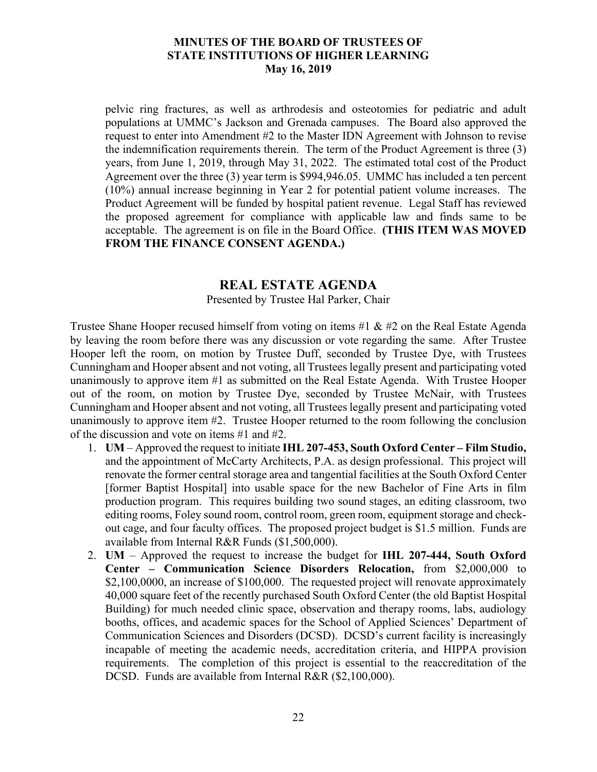pelvic ring fractures, as well as arthrodesis and osteotomies for pediatric and adult populations at UMMC's Jackson and Grenada campuses. The Board also approved the request to enter into Amendment #2 to the Master IDN Agreement with Johnson to revise the indemnification requirements therein. The term of the Product Agreement is three (3) years, from June 1, 2019, through May 31, 2022. The estimated total cost of the Product Agreement over the three (3) year term is \$994,946.05. UMMC has included a ten percent (10%) annual increase beginning in Year 2 for potential patient volume increases. The Product Agreement will be funded by hospital patient revenue. Legal Staff has reviewed the proposed agreement for compliance with applicable law and finds same to be acceptable. The agreement is on file in the Board Office. **(THIS ITEM WAS MOVED FROM THE FINANCE CONSENT AGENDA.)**

# **REAL ESTATE AGENDA**

Presented by Trustee Hal Parker, Chair

Trustee Shane Hooper recused himself from voting on items #1 & #2 on the Real Estate Agenda by leaving the room before there was any discussion or vote regarding the same. After Trustee Hooper left the room, on motion by Trustee Duff, seconded by Trustee Dye, with Trustees Cunningham and Hooper absent and not voting, all Trustees legally present and participating voted unanimously to approve item #1 as submitted on the Real Estate Agenda. With Trustee Hooper out of the room, on motion by Trustee Dye, seconded by Trustee McNair, with Trustees Cunningham and Hooper absent and not voting, all Trustees legally present and participating voted unanimously to approve item #2. Trustee Hooper returned to the room following the conclusion of the discussion and vote on items #1 and #2.

- 1. **UM** Approved the request to initiate **IHL 207-453, South Oxford Center Film Studio,** and the appointment of McCarty Architects, P.A. as design professional. This project will renovate the former central storage area and tangential facilities at the South Oxford Center [former Baptist Hospital] into usable space for the new Bachelor of Fine Arts in film production program. This requires building two sound stages, an editing classroom, two editing rooms, Foley sound room, control room, green room, equipment storage and checkout cage, and four faculty offices. The proposed project budget is \$1.5 million. Funds are available from Internal R&R Funds (\$1,500,000).
- 2. **UM** Approved the request to increase the budget for **IHL 207-444, South Oxford Center – Communication Science Disorders Relocation,** from \$2,000,000 to \$2,100,0000, an increase of \$100,000. The requested project will renovate approximately 40,000 square feet of the recently purchased South Oxford Center (the old Baptist Hospital Building) for much needed clinic space, observation and therapy rooms, labs, audiology booths, offices, and academic spaces for the School of Applied Sciences' Department of Communication Sciences and Disorders (DCSD). DCSD's current facility is increasingly incapable of meeting the academic needs, accreditation criteria, and HIPPA provision requirements. The completion of this project is essential to the reaccreditation of the DCSD. Funds are available from Internal R&R (\$2,100,000).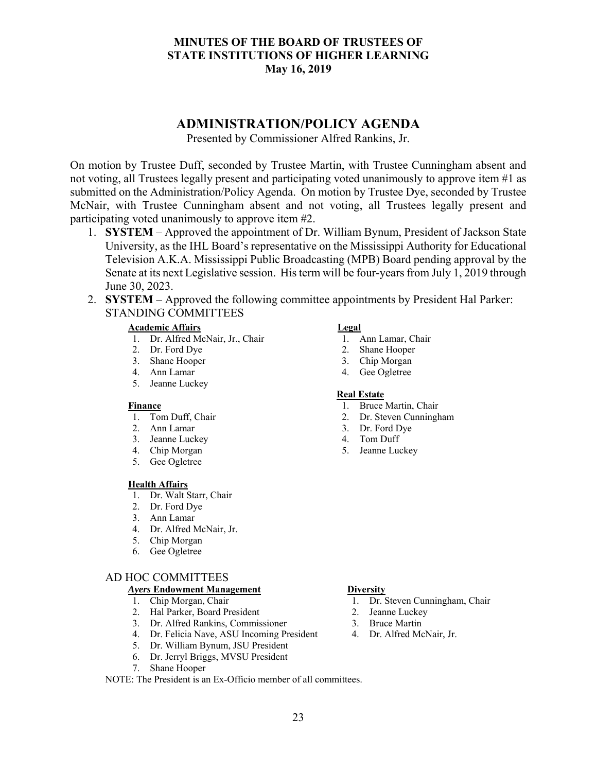# **ADMINISTRATION/POLICY AGENDA**

Presented by Commissioner Alfred Rankins, Jr.

On motion by Trustee Duff, seconded by Trustee Martin, with Trustee Cunningham absent and not voting, all Trustees legally present and participating voted unanimously to approve item #1 as submitted on the Administration/Policy Agenda. On motion by Trustee Dye, seconded by Trustee McNair, with Trustee Cunningham absent and not voting, all Trustees legally present and participating voted unanimously to approve item #2.

- 1. **SYSTEM** Approved the appointment of Dr. William Bynum, President of Jackson State University, as the IHL Board's representative on the Mississippi Authority for Educational Television A.K.A. Mississippi Public Broadcasting (MPB) Board pending approval by the Senate at its next Legislative session. His term will be four-years from July 1, 2019 through June 30, 2023.
- 2. **SYSTEM** Approved the following committee appointments by President Hal Parker: STANDING COMMITTEES

#### **Academic Affairs**

- 1. Dr. Alfred McNair, Jr., Chair
- 2. Dr. Ford Dye
- 3. Shane Hooper
- 4. Ann Lamar
- 5. Jeanne Luckey

#### **Finance**

- 1. Tom Duff, Chair
- 2. Ann Lamar
- 3. Jeanne Luckey
- 4. Chip Morgan
- 5. Gee Ogletree

#### **Health Affairs**

- 1. Dr. Walt Starr, Chair
- 2. Dr. Ford Dye
- 3. Ann Lamar
- 4. Dr. Alfred McNair, Jr.
- 5. Chip Morgan
- 6. Gee Ogletree

#### AD HOC COMMITTEES

#### *Ayers* **Endowment Management**

- 1. Chip Morgan, Chair
- 2. Hal Parker, Board President
- 3. Dr. Alfred Rankins, Commissioner
- 4. Dr. Felicia Nave, ASU Incoming President
- 5. Dr. William Bynum, JSU President
- 6. Dr. Jerryl Briggs, MVSU President
- 7. Shane Hooper

#### NOTE: The President is an Ex-Officio member of all committees.

#### **Legal**

- 1. Ann Lamar, Chair
- 2. Shane Hooper
- 3. Chip Morgan
- 4. Gee Ogletree

#### **Real Estate**

- 1. Bruce Martin, Chair
- 2. Dr. Steven Cunningham
- 3. Dr. Ford Dye
- 4. Tom Duff
- 5. Jeanne Luckey

#### **Diversity**

- 1. Dr. Steven Cunningham, Chair
- 2. Jeanne Luckey
- 3. Bruce Martin
- 4. Dr. Alfred McNair, Jr.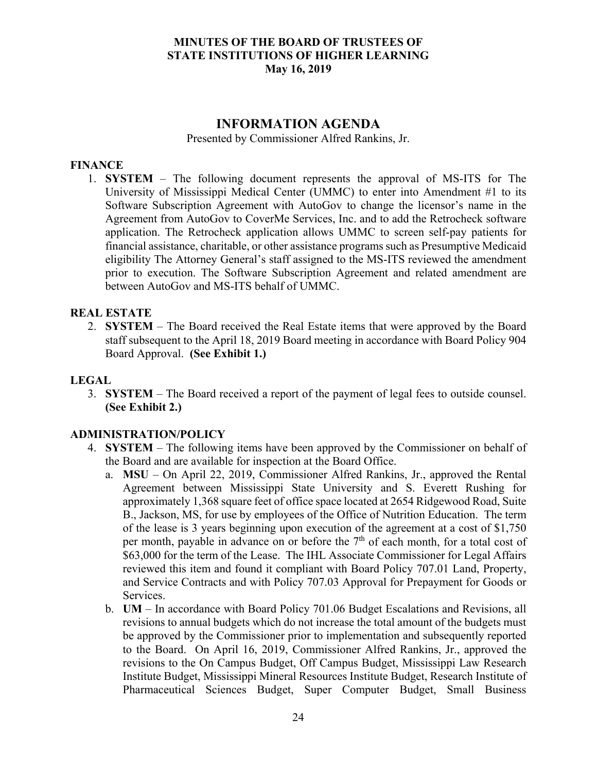# **INFORMATION AGENDA**

Presented by Commissioner Alfred Rankins, Jr.

## **FINANCE**

1. **SYSTEM** – The following document represents the approval of MS-ITS for The University of Mississippi Medical Center (UMMC) to enter into Amendment #1 to its Software Subscription Agreement with AutoGov to change the licensor's name in the Agreement from AutoGov to CoverMe Services, Inc. and to add the Retrocheck software application. The Retrocheck application allows UMMC to screen self-pay patients for financial assistance, charitable, or other assistance programs such as Presumptive Medicaid eligibility The Attorney General's staff assigned to the MS-ITS reviewed the amendment prior to execution. The Software Subscription Agreement and related amendment are between AutoGov and MS-ITS behalf of UMMC.

### **REAL ESTATE**

2. **SYSTEM** – The Board received the Real Estate items that were approved by the Board staff subsequent to the April 18, 2019 Board meeting in accordance with Board Policy 904 Board Approval. **(See Exhibit 1.)**

## **LEGAL**

3. **SYSTEM** – The Board received a report of the payment of legal fees to outside counsel. **(See Exhibit 2.)**

### **ADMINISTRATION/POLICY**

- 4. **SYSTEM** The following items have been approved by the Commissioner on behalf of the Board and are available for inspection at the Board Office.
	- a. **MSU**  On April 22, 2019, Commissioner Alfred Rankins, Jr., approved the Rental Agreement between Mississippi State University and S. Everett Rushing for approximately 1,368 square feet of office space located at 2654 Ridgewood Road, Suite B., Jackson, MS, for use by employees of the Office of Nutrition Education. The term of the lease is 3 years beginning upon execution of the agreement at a cost of \$1,750 per month, payable in advance on or before the  $7<sup>th</sup>$  of each month, for a total cost of \$63,000 for the term of the Lease. The IHL Associate Commissioner for Legal Affairs reviewed this item and found it compliant with Board Policy 707.01 Land, Property, and Service Contracts and with Policy 707.03 Approval for Prepayment for Goods or Services.
	- b. **UM** In accordance with Board Policy 701.06 Budget Escalations and Revisions, all revisions to annual budgets which do not increase the total amount of the budgets must be approved by the Commissioner prior to implementation and subsequently reported to the Board. On April 16, 2019, Commissioner Alfred Rankins, Jr., approved the revisions to the On Campus Budget, Off Campus Budget, Mississippi Law Research Institute Budget, Mississippi Mineral Resources Institute Budget, Research Institute of Pharmaceutical Sciences Budget, Super Computer Budget, Small Business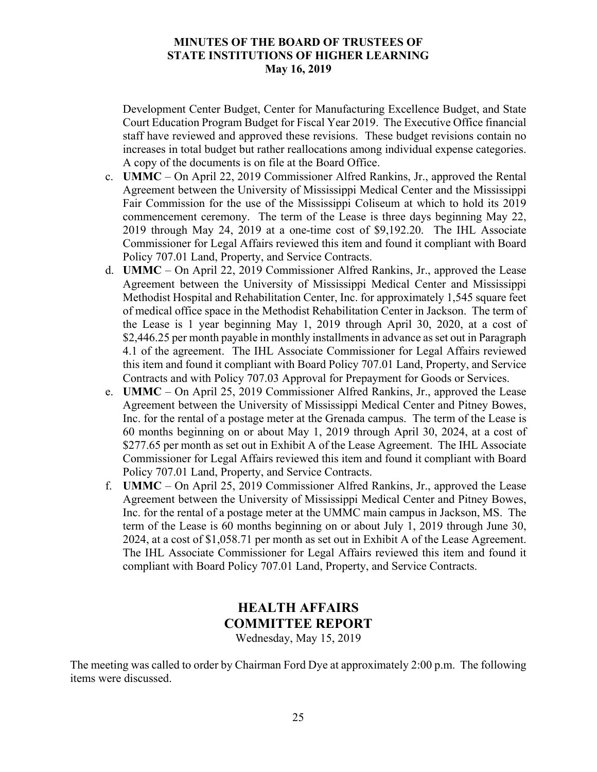Development Center Budget, Center for Manufacturing Excellence Budget, and State Court Education Program Budget for Fiscal Year 2019. The Executive Office financial staff have reviewed and approved these revisions. These budget revisions contain no increases in total budget but rather reallocations among individual expense categories. A copy of the documents is on file at the Board Office.

- c. **UMMC** On April 22, 2019 Commissioner Alfred Rankins, Jr., approved the Rental Agreement between the University of Mississippi Medical Center and the Mississippi Fair Commission for the use of the Mississippi Coliseum at which to hold its 2019 commencement ceremony. The term of the Lease is three days beginning May 22, 2019 through May 24, 2019 at a one-time cost of \$9,192.20. The IHL Associate Commissioner for Legal Affairs reviewed this item and found it compliant with Board Policy 707.01 Land, Property, and Service Contracts.
- d. **UMMC** On April 22, 2019 Commissioner Alfred Rankins, Jr., approved the Lease Agreement between the University of Mississippi Medical Center and Mississippi Methodist Hospital and Rehabilitation Center, Inc. for approximately 1,545 square feet of medical office space in the Methodist Rehabilitation Center in Jackson. The term of the Lease is 1 year beginning May 1, 2019 through April 30, 2020, at a cost of \$2,446.25 per month payable in monthly installments in advance as set out in Paragraph 4.1 of the agreement. The IHL Associate Commissioner for Legal Affairs reviewed this item and found it compliant with Board Policy 707.01 Land, Property, and Service Contracts and with Policy 707.03 Approval for Prepayment for Goods or Services.
- e. **UMMC** On April 25, 2019 Commissioner Alfred Rankins, Jr., approved the Lease Agreement between the University of Mississippi Medical Center and Pitney Bowes, Inc. for the rental of a postage meter at the Grenada campus. The term of the Lease is 60 months beginning on or about May 1, 2019 through April 30, 2024, at a cost of \$277.65 per month as set out in Exhibit A of the Lease Agreement. The IHL Associate Commissioner for Legal Affairs reviewed this item and found it compliant with Board Policy 707.01 Land, Property, and Service Contracts.
- f. **UMMC** On April 25, 2019 Commissioner Alfred Rankins, Jr., approved the Lease Agreement between the University of Mississippi Medical Center and Pitney Bowes, Inc. for the rental of a postage meter at the UMMC main campus in Jackson, MS. The term of the Lease is 60 months beginning on or about July 1, 2019 through June 30, 2024, at a cost of \$1,058.71 per month as set out in Exhibit A of the Lease Agreement. The IHL Associate Commissioner for Legal Affairs reviewed this item and found it compliant with Board Policy 707.01 Land, Property, and Service Contracts.

# **HEALTH AFFAIRS COMMITTEE REPORT**

Wednesday, May 15, 2019

The meeting was called to order by Chairman Ford Dye at approximately 2:00 p.m. The following items were discussed.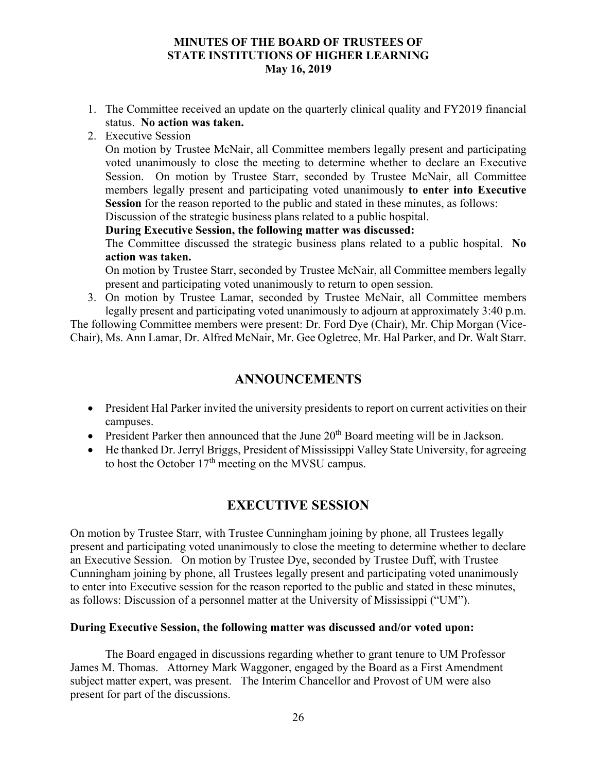- 1. The Committee received an update on the quarterly clinical quality and FY2019 financial status. **No action was taken.**
- 2. Executive Session

On motion by Trustee McNair, all Committee members legally present and participating voted unanimously to close the meeting to determine whether to declare an Executive Session. On motion by Trustee Starr, seconded by Trustee McNair, all Committee members legally present and participating voted unanimously **to enter into Executive Session** for the reason reported to the public and stated in these minutes, as follows:

Discussion of the strategic business plans related to a public hospital.

## **During Executive Session, the following matter was discussed:**

The Committee discussed the strategic business plans related to a public hospital. **No action was taken.**

On motion by Trustee Starr, seconded by Trustee McNair, all Committee members legally present and participating voted unanimously to return to open session.

3. On motion by Trustee Lamar, seconded by Trustee McNair, all Committee members legally present and participating voted unanimously to adjourn at approximately 3:40 p.m.

The following Committee members were present: Dr. Ford Dye (Chair), Mr. Chip Morgan (Vice-Chair), Ms. Ann Lamar, Dr. Alfred McNair, Mr. Gee Ogletree, Mr. Hal Parker, and Dr. Walt Starr.

# **ANNOUNCEMENTS**

- President Hal Parker invited the university presidents to report on current activities on their campuses.
- $\bullet$  President Parker then announced that the June 20<sup>th</sup> Board meeting will be in Jackson.
- He thanked Dr. Jerryl Briggs, President of Mississippi Valley State University, for agreeing to host the October  $17<sup>th</sup>$  meeting on the MVSU campus.

# **EXECUTIVE SESSION**

On motion by Trustee Starr, with Trustee Cunningham joining by phone, all Trustees legally present and participating voted unanimously to close the meeting to determine whether to declare an Executive Session. On motion by Trustee Dye, seconded by Trustee Duff, with Trustee Cunningham joining by phone, all Trustees legally present and participating voted unanimously to enter into Executive session for the reason reported to the public and stated in these minutes, as follows: Discussion of a personnel matter at the University of Mississippi ("UM").

## **During Executive Session, the following matter was discussed and/or voted upon:**

The Board engaged in discussions regarding whether to grant tenure to UM Professor James M. Thomas. Attorney Mark Waggoner, engaged by the Board as a First Amendment subject matter expert, was present. The Interim Chancellor and Provost of UM were also present for part of the discussions.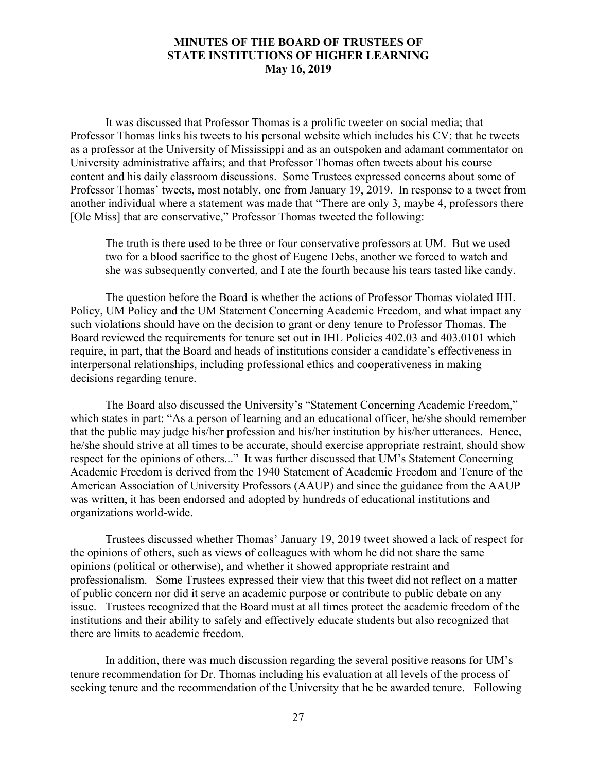It was discussed that Professor Thomas is a prolific tweeter on social media; that Professor Thomas links his tweets to his personal website which includes his CV; that he tweets as a professor at the University of Mississippi and as an outspoken and adamant commentator on University administrative affairs; and that Professor Thomas often tweets about his course content and his daily classroom discussions. Some Trustees expressed concerns about some of Professor Thomas' tweets, most notably, one from January 19, 2019. In response to a tweet from another individual where a statement was made that "There are only 3, maybe 4, professors there [Ole Miss] that are conservative," Professor Thomas tweeted the following:

 The truth is there used to be three or four conservative professors at UM. But we used two for a blood sacrifice to the ghost of Eugene Debs, another we forced to watch and she was subsequently converted, and I ate the fourth because his tears tasted like candy.

 The question before the Board is whether the actions of Professor Thomas violated IHL Policy, UM Policy and the UM Statement Concerning Academic Freedom, and what impact any such violations should have on the decision to grant or deny tenure to Professor Thomas. The Board reviewed the requirements for tenure set out in IHL Policies 402.03 and 403.0101 which require, in part, that the Board and heads of institutions consider a candidate's effectiveness in interpersonal relationships, including professional ethics and cooperativeness in making decisions regarding tenure.

 The Board also discussed the University's "Statement Concerning Academic Freedom," which states in part: "As a person of learning and an educational officer, he/she should remember that the public may judge his/her profession and his/her institution by his/her utterances. Hence, he/she should strive at all times to be accurate, should exercise appropriate restraint, should show respect for the opinions of others..." It was further discussed that UM's Statement Concerning Academic Freedom is derived from the 1940 Statement of Academic Freedom and Tenure of the American Association of University Professors (AAUP) and since the guidance from the AAUP was written, it has been endorsed and adopted by hundreds of educational institutions and organizations world-wide.

 Trustees discussed whether Thomas' January 19, 2019 tweet showed a lack of respect for the opinions of others, such as views of colleagues with whom he did not share the same opinions (political or otherwise), and whether it showed appropriate restraint and professionalism. Some Trustees expressed their view that this tweet did not reflect on a matter of public concern nor did it serve an academic purpose or contribute to public debate on any issue. Trustees recognized that the Board must at all times protect the academic freedom of the institutions and their ability to safely and effectively educate students but also recognized that there are limits to academic freedom.

 In addition, there was much discussion regarding the several positive reasons for UM's tenure recommendation for Dr. Thomas including his evaluation at all levels of the process of seeking tenure and the recommendation of the University that he be awarded tenure. Following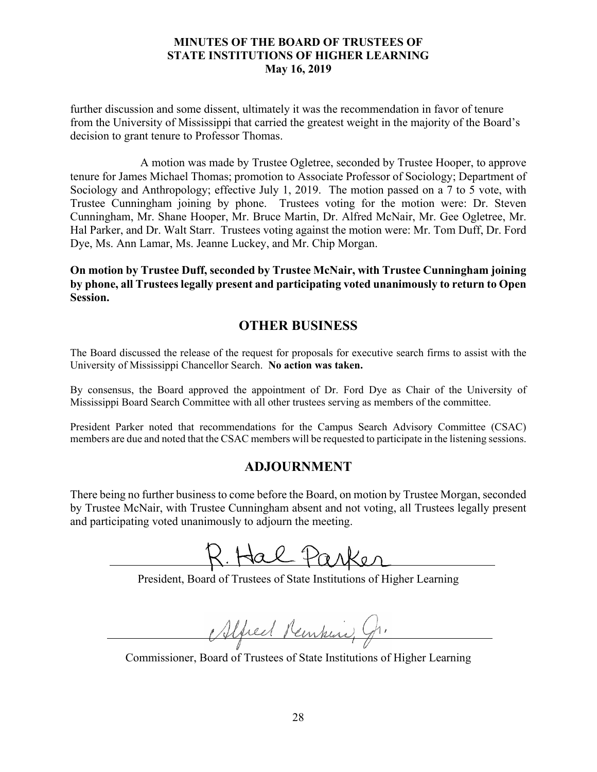further discussion and some dissent, ultimately it was the recommendation in favor of tenure from the University of Mississippi that carried the greatest weight in the majority of the Board's decision to grant tenure to Professor Thomas.

 A motion was made by Trustee Ogletree, seconded by Trustee Hooper, to approve tenure for James Michael Thomas; promotion to Associate Professor of Sociology; Department of Sociology and Anthropology; effective July 1, 2019. The motion passed on a 7 to 5 vote, with Trustee Cunningham joining by phone. Trustees voting for the motion were: Dr. Steven Cunningham, Mr. Shane Hooper, Mr. Bruce Martin, Dr. Alfred McNair, Mr. Gee Ogletree, Mr. Hal Parker, and Dr. Walt Starr. Trustees voting against the motion were: Mr. Tom Duff, Dr. Ford Dye, Ms. Ann Lamar, Ms. Jeanne Luckey, and Mr. Chip Morgan.

**On motion by Trustee Duff, seconded by Trustee McNair, with Trustee Cunningham joining by phone, all Trustees legally present and participating voted unanimously to return to Open Session.** 

# **OTHER BUSINESS**

The Board discussed the release of the request for proposals for executive search firms to assist with the University of Mississippi Chancellor Search. **No action was taken.**

By consensus, the Board approved the appointment of Dr. Ford Dye as Chair of the University of Mississippi Board Search Committee with all other trustees serving as members of the committee.

President Parker noted that recommendations for the Campus Search Advisory Committee (CSAC) members are due and noted that the CSAC members will be requested to participate in the listening sessions.

# **ADJOURNMENT**

There being no further business to come before the Board, on motion by Trustee Morgan, seconded by Trustee McNair, with Trustee Cunningham absent and not voting, all Trustees legally present and participating voted unanimously to adjourn the meeting.

President, Board of Trustees of State Institutions of Higher Learning

Muel Renkin,

Commissioner, Board of Trustees of State Institutions of Higher Learning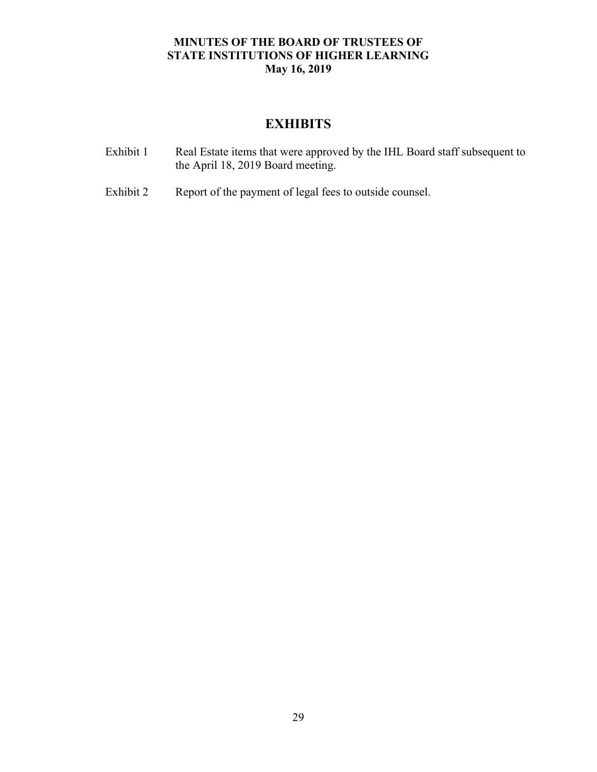# **EXHIBITS**

| Exhibit 1 | Real Estate items that were approved by the IHL Board staff subsequent to |
|-----------|---------------------------------------------------------------------------|
|           | the April 18, 2019 Board meeting.                                         |

Exhibit 2 Report of the payment of legal fees to outside counsel.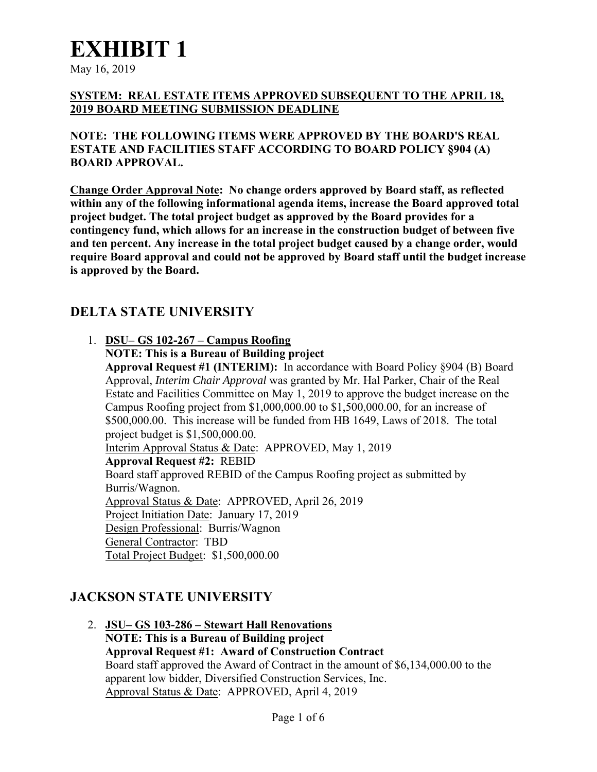May 16, 2019

# **SYSTEM: REAL ESTATE ITEMS APPROVED SUBSEQUENT TO THE APRIL 18, 2019 BOARD MEETING SUBMISSION DEADLINE**

**NOTE: THE FOLLOWING ITEMS WERE APPROVED BY THE BOARD'S REAL ESTATE AND FACILITIES STAFF ACCORDING TO BOARD POLICY §904 (A) BOARD APPROVAL.** 

**Change Order Approval Note: No change orders approved by Board staff, as reflected within any of the following informational agenda items, increase the Board approved total project budget. The total project budget as approved by the Board provides for a contingency fund, which allows for an increase in the construction budget of between five and ten percent. Any increase in the total project budget caused by a change order, would require Board approval and could not be approved by Board staff until the budget increase is approved by the Board.** 

# **DELTA STATE UNIVERSITY**

- 1. **DSU– GS 102-267 Campus Roofing** 
	- **NOTE: This is a Bureau of Building project**

**Approval Request #1 (INTERIM):**In accordance with Board Policy §904 (B) Board Approval, *Interim Chair Approval* was granted by Mr. Hal Parker, Chair of the Real Estate and Facilities Committee on May 1, 2019 to approve the budget increase on the Campus Roofing project from \$1,000,000.00 to \$1,500,000.00, for an increase of \$500,000.00. This increase will be funded from HB 1649, Laws of 2018. The total project budget is \$1,500,000.00.

Interim Approval Status & Date:APPROVED, May 1, 2019 **Approval Request #2:**REBID Board staff approved REBID of the Campus Roofing project as submitted by Burris/Wagnon. Approval Status & Date: APPROVED, April 26, 2019 Project Initiation Date: January 17, 2019 Design Professional: Burris/Wagnon General Contractor: TBD Total Project Budget: \$1,500,000.00

# **JACKSON STATE UNIVERSITY**

2. **JSU– GS 103-286 – Stewart Hall Renovations NOTE: This is a Bureau of Building project Approval Request #1:****Award of Construction Contract**  Board staff approved the Award of Contract in the amount of \$6,134,000.00 to the apparent low bidder, Diversified Construction Services, Inc. Approval Status & Date: APPROVED, April 4, 2019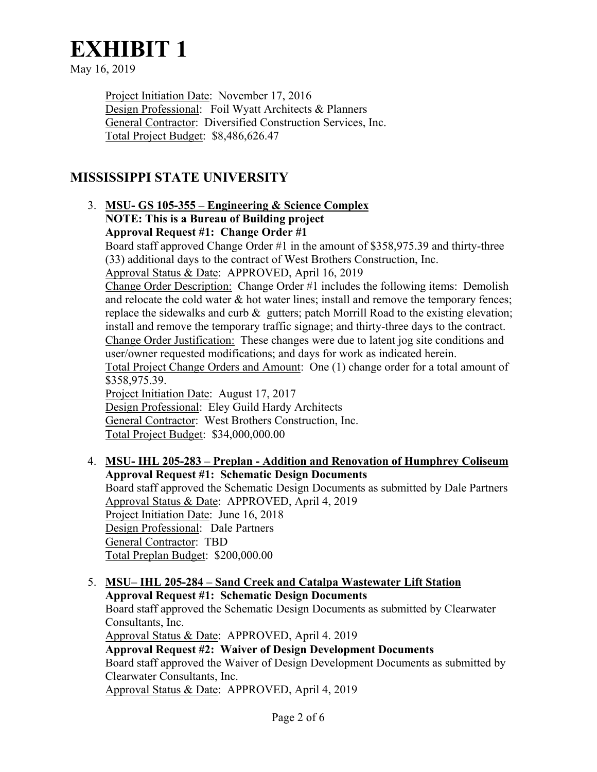May 16, 2019

Project Initiation Date: November 17, 2016 Design Professional:Foil Wyatt Architects & Planners General Contractor: Diversified Construction Services, Inc. Total Project Budget: \$8,486,626.47

# **MISSISSIPPI STATE UNIVERSITY**

# 3. **MSU- GS 105-355 – Engineering & Science Complex NOTE: This is a Bureau of Building project Approval Request #1:****Change Order #1**

Board staff approved Change Order #1 in the amount of \$358,975.39 and thirty-three (33) additional days to the contract of West Brothers Construction, Inc.

Approval Status & Date:APPROVED, April 16, 2019

Change Order Description: Change Order #1 includes the following items: Demolish and relocate the cold water & hot water lines; install and remove the temporary fences; replace the sidewalks and curb  $\&$  gutters; patch Morrill Road to the existing elevation; install and remove the temporary traffic signage; and thirty-three days to the contract. Change Order Justification: These changes were due to latent jog site conditions and user/owner requested modifications; and days for work as indicated herein. Total Project Change Orders and Amount: One (1) change order for a total amount of

\$358,975.39.

Project Initiation Date: August 17, 2017 Design Professional: Eley Guild Hardy Architects General Contractor: West Brothers Construction, Inc. Total Project Budget: \$34,000,000.00

- 4. **MSU- IHL 205-283 Preplan Addition and Renovation of Humphrey Coliseum Approval Request #1:****Schematic Design Documents**  Board staff approved the Schematic Design Documents as submitted by Dale Partners Approval Status & Date: APPROVED, April 4, 2019 Project Initiation Date: June 16, 2018 Design Professional:Dale Partners General Contractor: TBD Total Preplan Budget: \$200,000.00
- 5. **MSU– IHL 205-284 Sand Creek and Catalpa Wastewater Lift Station Approval Request #1:****Schematic Design Documents**  Board staff approved the Schematic Design Documents as submitted by Clearwater Consultants, Inc. Approval Status & Date: APPROVED, April 4. 2019 **Approval Request #2: Waiver of Design Development Documents**  Board staff approved the Waiver of Design Development Documents as submitted by Clearwater Consultants, Inc. Approval Status & Date: APPROVED, April 4, 2019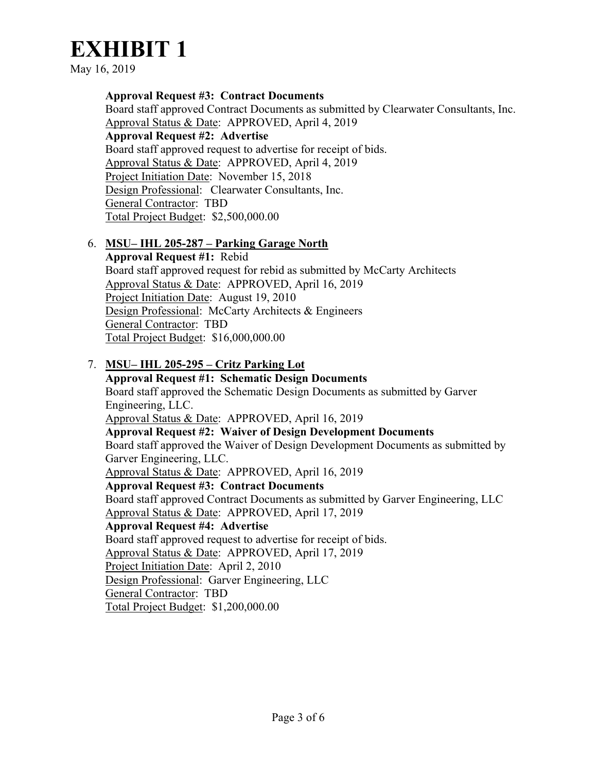May 16, 2019

**Approval Request #3:****Contract Documents**  Board staff approved Contract Documents as submitted by Clearwater Consultants, Inc. Approval Status & Date: APPROVED, April 4, 2019 **Approval Request #2:****Advertise**  Board staff approved request to advertise for receipt of bids. Approval Status & Date: APPROVED, April 4, 2019 Project Initiation Date: November 15, 2018 Design Professional:Clearwater Consultants, Inc. General Contractor: TBD Total Project Budget: \$2,500,000.00

# 6. **MSU– IHL 205-287 – Parking Garage North**

**Approval Request #1:**Rebid Board staff approved request for rebid as submitted by McCarty Architects Approval Status & Date: APPROVED, April 16, 2019 Project Initiation Date: August 19, 2010 Design Professional: McCarty Architects & Engineers General Contractor: TBD Total Project Budget: \$16,000,000.00

7. **MSU– IHL 205-295 – Critz Parking Lot Approval Request #1:****Schematic Design Documents**  Board staff approved the Schematic Design Documents as submitted by Garver Engineering, LLC. Approval Status & Date: APPROVED, April 16, 2019 **Approval Request #2: Waiver of Design Development Documents**  Board staff approved the Waiver of Design Development Documents as submitted by Garver Engineering, LLC. Approval Status & Date: APPROVED, April 16, 2019 **Approval Request #3:****Contract Documents**  Board staff approved Contract Documents as submitted by Garver Engineering, LLC Approval Status & Date: APPROVED, April 17, 2019 **Approval Request #4:****Advertise**  Board staff approved request to advertise for receipt of bids. Approval Status & Date: APPROVED, April 17, 2019 Project Initiation Date: April 2, 2010 Design Professional: Garver Engineering, LLC General Contractor: TBD Total Project Budget: \$1,200,000.00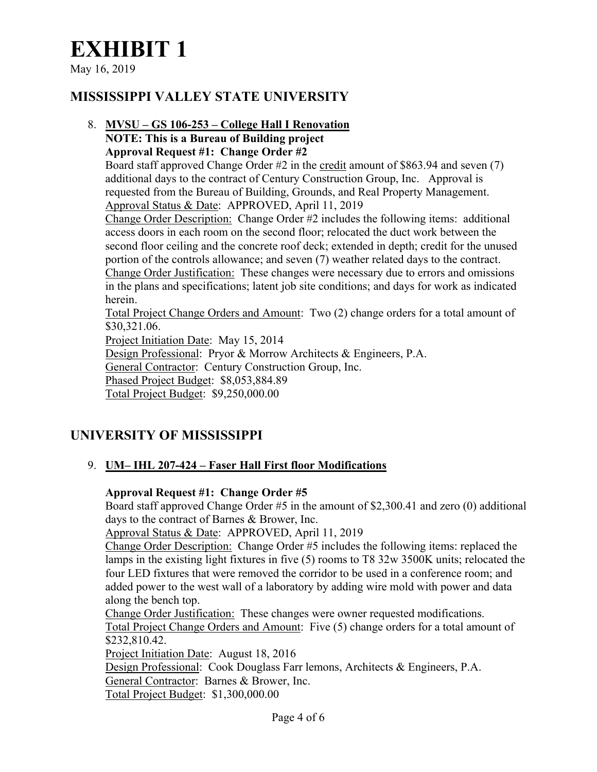May 16, 2019

# **MISSISSIPPI VALLEY STATE UNIVERSITY**

# 8. **MVSU – GS 106-253 – College Hall I Renovation NOTE: This is a Bureau of Building project Approval Request #1:****Change Order #2**

Board staff approved Change Order #2 in the credit amount of \$863.94 and seven (7) additional days to the contract of Century Construction Group, Inc. Approval is requested from the Bureau of Building, Grounds, and Real Property Management. Approval Status & Date:APPROVED, April 11, 2019

Change Order Description: Change Order #2 includes the following items: additional access doors in each room on the second floor; relocated the duct work between the second floor ceiling and the concrete roof deck; extended in depth; credit for the unused portion of the controls allowance; and seven (7) weather related days to the contract. Change Order Justification: These changes were necessary due to errors and omissions in the plans and specifications; latent job site conditions; and days for work as indicated herein.

Total Project Change Orders and Amount: Two (2) change orders for a total amount of \$30,321.06.

Project Initiation Date: May 15, 2014

Design Professional: Pryor & Morrow Architects & Engineers, P.A.

General Contractor: Century Construction Group, Inc.

Phased Project Budget: \$8,053,884.89

Total Project Budget: \$9,250,000.00

# **UNIVERSITY OF MISSISSIPPI**

# 9. **UM– IHL 207-424 – Faser Hall First floor Modifications**

# **Approval Request #1:****Change Order #5**

Board staff approved Change Order #5 in the amount of \$2,300.41 and zero (0) additional days to the contract of Barnes & Brower, Inc.

Approval Status & Date:APPROVED, April 11, 2019

Change Order Description: Change Order #5 includes the following items: replaced the lamps in the existing light fixtures in five (5) rooms to T8 32w 3500K units; relocated the four LED fixtures that were removed the corridor to be used in a conference room; and added power to the west wall of a laboratory by adding wire mold with power and data along the bench top.

Change Order Justification: These changes were owner requested modifications. Total Project Change Orders and Amount: Five (5) change orders for a total amount of \$232,810.42.

Project Initiation Date: August 18, 2016

Design Professional: Cook Douglass Farr lemons, Architects & Engineers, P.A. General Contractor: Barnes & Brower, Inc.

Total Project Budget: \$1,300,000.00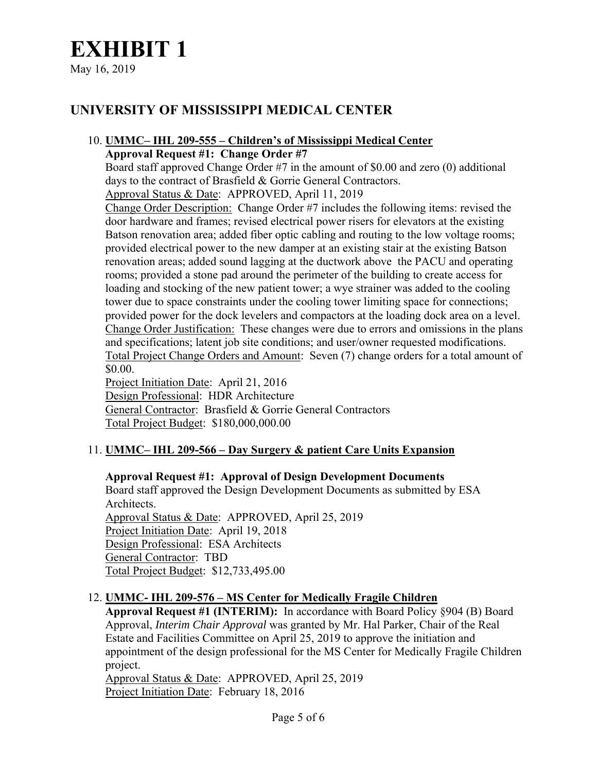May 16, 2019

# **UNIVERSITY OF MISSISSIPPI MEDICAL CENTER**

# 10. **UMMC– IHL 209-555 – Children's of Mississippi Medical Center**

**Approval Request #1:****Change Order #7** 

Board staff approved Change Order #7 in the amount of \$0.00 and zero (0) additional days to the contract of Brasfield & Gorrie General Contractors. Approval Status & Date:APPROVED, April 11, 2019

Change Order Description: Change Order #7 includes the following items: revised the door hardware and frames; revised electrical power risers for elevators at the existing Batson renovation area; added fiber optic cabling and routing to the low voltage rooms; provided electrical power to the new damper at an existing stair at the existing Batson renovation areas; added sound lagging at the ductwork above the PACU and operating rooms; provided a stone pad around the perimeter of the building to create access for loading and stocking of the new patient tower; a wye strainer was added to the cooling tower due to space constraints under the cooling tower limiting space for connections; provided power for the dock levelers and compactors at the loading dock area on a level. Change Order Justification: These changes were due to errors and omissions in the plans and specifications; latent job site conditions; and user/owner requested modifications. Total Project Change Orders and Amount: Seven (7) change orders for a total amount of \$0.00.

Project Initiation Date: April 21, 2016 Design Professional: HDR Architecture General Contractor: Brasfield & Gorrie General Contractors Total Project Budget: \$180,000,000.00

# 11. **UMMC– IHL 209-566 – Day Surgery & patient Care Units Expansion**

# **Approval Request #1:****Approval of Design Development Documents**

Board staff approved the Design Development Documents as submitted by ESA Architects. Approval Status & Date: APPROVED, April 25, 2019 Project Initiation Date: April 19, 2018 Design Professional: ESA Architects General Contractor: TBD Total Project Budget: \$12,733,495.00

# 12. **UMMC- IHL 209-576 – MS Center for Medically Fragile Children**

**Approval Request #1 (INTERIM):**In accordance with Board Policy §904 (B) Board Approval, *Interim Chair Approval* was granted by Mr. Hal Parker, Chair of the Real Estate and Facilities Committee on April 25, 2019 to approve the initiation and appointment of the design professional for the MS Center for Medically Fragile Children project.

Approval Status & Date:APPROVED, April 25, 2019 Project Initiation Date: February 18, 2016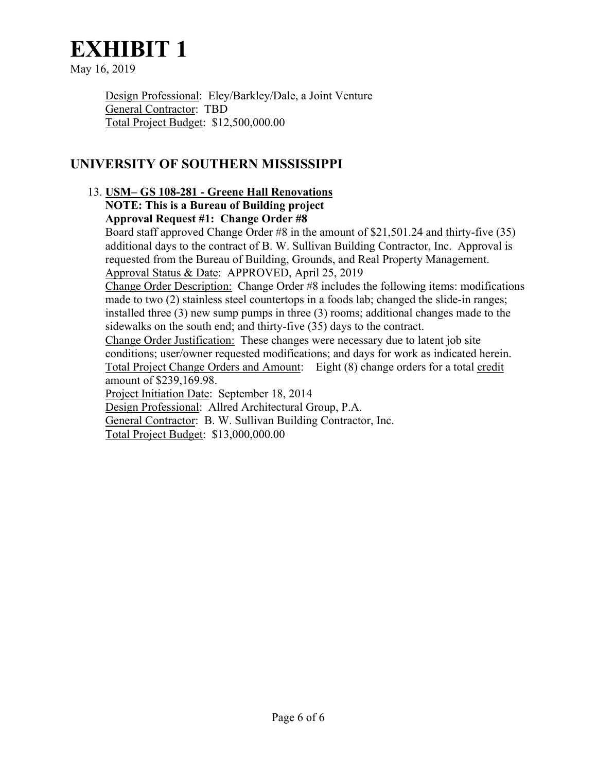May 16, 2019

Design Professional: Eley/Barkley/Dale, a Joint Venture General Contractor: TBD Total Project Budget: \$12,500,000.00

# **UNIVERSITY OF SOUTHERN MISSISSIPPI**

# 13. **USM– GS 108-281 - Greene Hall Renovations NOTE: This is a Bureau of Building project Approval Request #1:****Change Order #8**

Board staff approved Change Order #8 in the amount of \$21,501.24 and thirty-five (35) additional days to the contract of B. W. Sullivan Building Contractor, Inc. Approval is requested from the Bureau of Building, Grounds, and Real Property Management. Approval Status & Date:APPROVED, April 25, 2019

Change Order Description: Change Order #8 includes the following items: modifications made to two (2) stainless steel countertops in a foods lab; changed the slide-in ranges; installed three (3) new sump pumps in three (3) rooms; additional changes made to the sidewalks on the south end; and thirty-five (35) days to the contract.

Change Order Justification: These changes were necessary due to latent job site conditions; user/owner requested modifications; and days for work as indicated herein. Total Project Change Orders and Amount: Eight (8) change orders for a total credit amount of \$239,169.98.

Project Initiation Date: September 18, 2014

Design Professional:Allred Architectural Group, P.A.

General Contractor: B. W. Sullivan Building Contractor, Inc.

Total Project Budget: \$13,000,000.00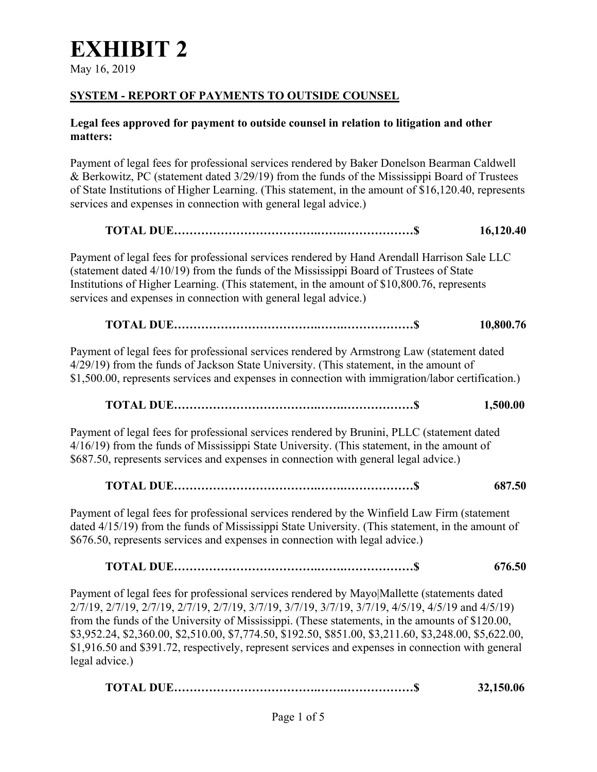May 16, 2019

# **SYSTEM - REPORT OF PAYMENTS TO OUTSIDE COUNSEL**

# **Legal fees approved for payment to outside counsel in relation to litigation and other matters:**

Payment of legal fees for professional services rendered by Baker Donelson Bearman Caldwell & Berkowitz, PC (statement dated 3/29/19) from the funds of the Mississippi Board of Trustees of State Institutions of Higher Learning. (This statement, in the amount of \$16,120.40, represents services and expenses in connection with general legal advice.)

# **TOTAL DUE……………………………….…….………………\$ 16,120.40**  Payment of legal fees for professional services rendered by Hand Arendall Harrison Sale LLC (statement dated 4/10/19) from the funds of the Mississippi Board of Trustees of State Institutions of Higher Learning. (This statement, in the amount of \$10,800.76, represents services and expenses in connection with general legal advice.)  **TOTAL DUE……………………………….…….………………\$ 10,800.76** Payment of legal fees for professional services rendered by Armstrong Law (statement dated 4/29/19) from the funds of Jackson State University. (This statement, in the amount of \$1,500.00, represents services and expenses in connection with immigration/labor certification.)  **TOTAL DUE……………………………….…….………………\$ 1,500.00**

Payment of legal fees for professional services rendered by Brunini, PLLC (statement dated 4/16/19) from the funds of Mississippi State University. (This statement, in the amount of \$687.50, represents services and expenses in connection with general legal advice.)

# **TOTAL DUE……………………………….…….………………\$ 687.50**

Payment of legal fees for professional services rendered by the Winfield Law Firm (statement dated 4/15/19) from the funds of Mississippi State University. (This statement, in the amount of \$676.50, represents services and expenses in connection with legal advice.)

# **TOTAL DUE……………………………….…….………………\$ 676.50**

Payment of legal fees for professional services rendered by Mayo|Mallette (statements dated 2/7/19, 2/7/19, 2/7/19, 2/7/19, 2/7/19, 3/7/19, 3/7/19, 3/7/19, 3/7/19, 4/5/19, 4/5/19 and 4/5/19) from the funds of the University of Mississippi. (These statements, in the amounts of \$120.00, \$3,952.24, \$2,360.00, \$2,510.00, \$7,774.50, \$192.50, \$851.00, \$3,211.60, \$3,248.00, \$5,622.00, \$1,916.50 and \$391.72, respectively, represent services and expenses in connection with general legal advice.)

|  | 32,150.06 |
|--|-----------|
|--|-----------|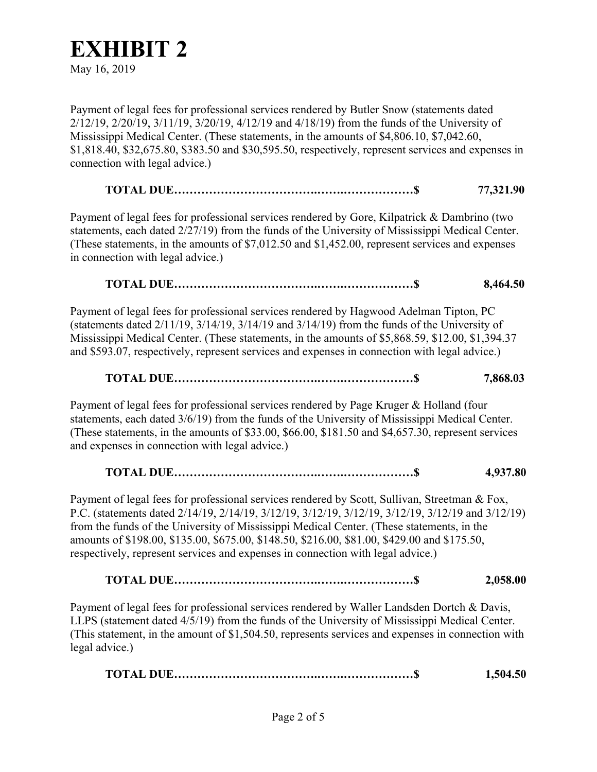May 16, 2019

Payment of legal fees for professional services rendered by Butler Snow (statements dated 2/12/19, 2/20/19, 3/11/19, 3/20/19, 4/12/19 and 4/18/19) from the funds of the University of Mississippi Medical Center. (These statements, in the amounts of \$4,806.10, \$7,042.60, \$1,818.40, \$32,675.80, \$383.50 and \$30,595.50, respectively, represent services and expenses in connection with legal advice.)

**TOTAL DUE……………………………….…….………………\$ 77,321.90** 

Payment of legal fees for professional services rendered by Gore, Kilpatrick & Dambrino (two statements, each dated 2/27/19) from the funds of the University of Mississippi Medical Center. (These statements, in the amounts of \$7,012.50 and \$1,452.00, represent services and expenses in connection with legal advice.)

# **TOTAL DUE……………………………….…….………………\$ 8,464.50**

Payment of legal fees for professional services rendered by Hagwood Adelman Tipton, PC (statements dated 2/11/19, 3/14/19, 3/14/19 and 3/14/19) from the funds of the University of Mississippi Medical Center. (These statements, in the amounts of \$5,868.59, \$12.00, \$1,394.37 and \$593.07, respectively, represent services and expenses in connection with legal advice.)

# **TOTAL DUE……………………………….…….………………\$ 7,868.03**

Payment of legal fees for professional services rendered by Page Kruger & Holland (four statements, each dated 3/6/19) from the funds of the University of Mississippi Medical Center. (These statements, in the amounts of \$33.00, \$66.00, \$181.50 and \$4,657.30, represent services and expenses in connection with legal advice.)

# **TOTAL DUE……………………………….…….………………\$ 4,937.80**

Payment of legal fees for professional services rendered by Scott, Sullivan, Streetman & Fox, P.C. (statements dated 2/14/19, 2/14/19, 3/12/19, 3/12/19, 3/12/19, 3/12/19, 3/12/19 and 3/12/19) from the funds of the University of Mississippi Medical Center. (These statements, in the amounts of \$198.00, \$135.00, \$675.00, \$148.50, \$216.00, \$81.00, \$429.00 and \$175.50, respectively, represent services and expenses in connection with legal advice.)

**TOTAL DUE……………………………….…….………………\$ 2,058.00**

Payment of legal fees for professional services rendered by Waller Landsden Dortch & Davis, LLPS (statement dated 4/5/19) from the funds of the University of Mississippi Medical Center. (This statement, in the amount of \$1,504.50, represents services and expenses in connection with legal advice.)

|  | 1,504.50 |
|--|----------|
|--|----------|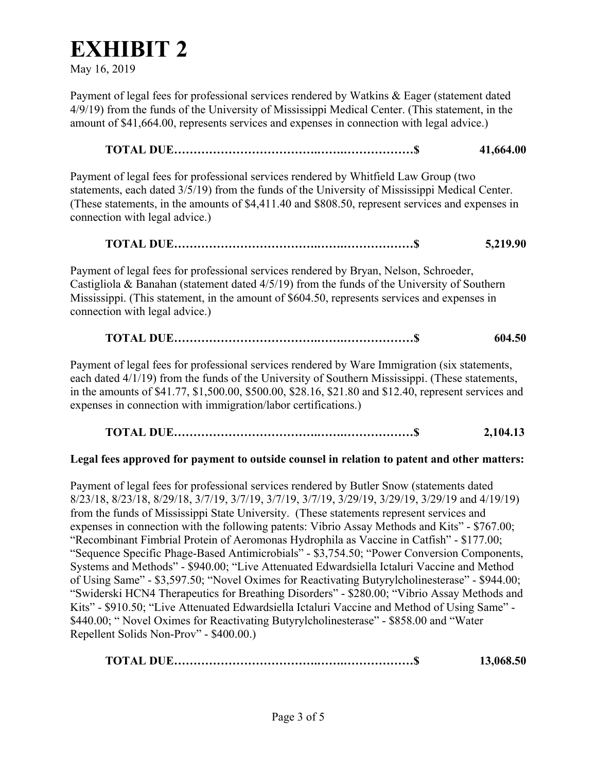May 16, 2019

Payment of legal fees for professional services rendered by Watkins & Eager (statement dated 4/9/19) from the funds of the University of Mississippi Medical Center. (This statement, in the amount of \$41,664.00, represents services and expenses in connection with legal advice.)

# **TOTAL DUE……………………………….…….………………\$ 41,664.00**

Payment of legal fees for professional services rendered by Whitfield Law Group (two statements, each dated 3/5/19) from the funds of the University of Mississippi Medical Center. (These statements, in the amounts of \$4,411.40 and \$808.50, represent services and expenses in connection with legal advice.)

# **TOTAL DUE……………………………….…….………………\$ 5,219.90**

Payment of legal fees for professional services rendered by Bryan, Nelson, Schroeder, Castigliola & Banahan (statement dated 4/5/19) from the funds of the University of Southern Mississippi. (This statement, in the amount of \$604.50, represents services and expenses in connection with legal advice.)

# **TOTAL DUE……………………………….…….………………\$ 604.50**

Payment of legal fees for professional services rendered by Ware Immigration (six statements, each dated 4/1/19) from the funds of the University of Southern Mississippi. (These statements, in the amounts of \$41.77, \$1,500.00, \$500.00, \$28.16, \$21.80 and \$12.40, represent services and expenses in connection with immigration/labor certifications.)

 **TOTAL DUE……………………………….…….………………\$ 2,104.13**

# **Legal fees approved for payment to outside counsel in relation to patent and other matters:**

Payment of legal fees for professional services rendered by Butler Snow (statements dated 8/23/18, 8/23/18, 8/29/18, 3/7/19, 3/7/19, 3/7/19, 3/7/19, 3/29/19, 3/29/19, 3/29/19 and 4/19/19) from the funds of Mississippi State University. (These statements represent services and expenses in connection with the following patents: Vibrio Assay Methods and Kits" - \$767.00; "Recombinant Fimbrial Protein of Aeromonas Hydrophila as Vaccine in Catfish" - \$177.00; "Sequence Specific Phage-Based Antimicrobials" - \$3,754.50; "Power Conversion Components, Systems and Methods" - \$940.00; "Live Attenuated Edwardsiella Ictaluri Vaccine and Method of Using Same" - \$3,597.50; "Novel Oximes for Reactivating Butyrylcholinesterase" - \$944.00; "Swiderski HCN4 Therapeutics for Breathing Disorders" - \$280.00; "Vibrio Assay Methods and Kits" - \$910.50; "Live Attenuated Edwardsiella Ictaluri Vaccine and Method of Using Same" - \$440.00; " Novel Oximes for Reactivating Butyrylcholinesterase" - \$858.00 and "Water Repellent Solids Non-Prov" - \$400.00.)

|  | 13,068.50 |
|--|-----------|
|--|-----------|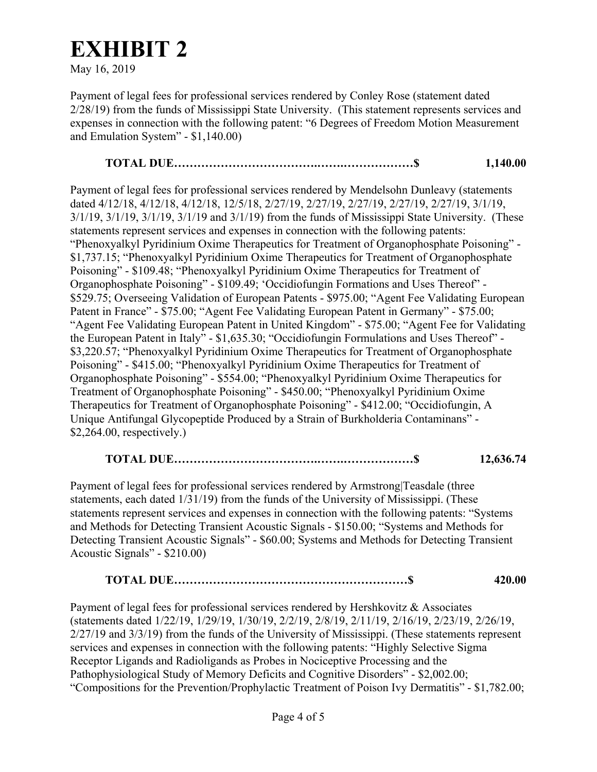May 16, 2019

Payment of legal fees for professional services rendered by Conley Rose (statement dated 2/28/19) from the funds of Mississippi State University. (This statement represents services and expenses in connection with the following patent: "6 Degrees of Freedom Motion Measurement and Emulation System" - \$1,140.00)

# **TOTAL DUE……………………………….…….………………\$ 1,140.00**

Payment of legal fees for professional services rendered by Mendelsohn Dunleavy (statements dated 4/12/18, 4/12/18, 4/12/18, 12/5/18, 2/27/19, 2/27/19, 2/27/19, 2/27/19, 2/27/19, 3/1/19, 3/1/19, 3/1/19, 3/1/19, 3/1/19 and 3/1/19) from the funds of Mississippi State University. (These statements represent services and expenses in connection with the following patents: "Phenoxyalkyl Pyridinium Oxime Therapeutics for Treatment of Organophosphate Poisoning" - \$1,737.15; "Phenoxyalkyl Pyridinium Oxime Therapeutics for Treatment of Organophosphate Poisoning" - \$109.48; "Phenoxyalkyl Pyridinium Oxime Therapeutics for Treatment of Organophosphate Poisoning" - \$109.49; 'Occidiofungin Formations and Uses Thereof" - \$529.75; Overseeing Validation of European Patents - \$975.00; "Agent Fee Validating European Patent in France" - \$75.00; "Agent Fee Validating European Patent in Germany" - \$75.00; "Agent Fee Validating European Patent in United Kingdom" - \$75.00; "Agent Fee for Validating the European Patent in Italy" - \$1,635.30; "Occidiofungin Formulations and Uses Thereof" - \$3,220.57; "Phenoxyalkyl Pyridinium Oxime Therapeutics for Treatment of Organophosphate Poisoning" - \$415.00; "Phenoxyalkyl Pyridinium Oxime Therapeutics for Treatment of Organophosphate Poisoning" - \$554.00; "Phenoxyalkyl Pyridinium Oxime Therapeutics for Treatment of Organophosphate Poisoning" - \$450.00; "Phenoxyalkyl Pyridinium Oxime Therapeutics for Treatment of Organophosphate Poisoning" - \$412.00; "Occidiofungin, A Unique Antifungal Glycopeptide Produced by a Strain of Burkholderia Contaminans" - \$2,264.00, respectively.)

# **TOTAL DUE……………………………….…….………………\$ 12,636.74**

Payment of legal fees for professional services rendered by Armstrong|Teasdale (three statements, each dated 1/31/19) from the funds of the University of Mississippi. (These statements represent services and expenses in connection with the following patents: "Systems and Methods for Detecting Transient Acoustic Signals - \$150.00; "Systems and Methods for Detecting Transient Acoustic Signals" - \$60.00; Systems and Methods for Detecting Transient Acoustic Signals" - \$210.00)

**TOTAL DUE……………………………………………………\$ 420.00** 

Payment of legal fees for professional services rendered by Hershkovitz & Associates (statements dated 1/22/19, 1/29/19, 1/30/19, 2/2/19, 2/8/19, 2/11/19, 2/16/19, 2/23/19, 2/26/19, 2/27/19 and 3/3/19) from the funds of the University of Mississippi. (These statements represent services and expenses in connection with the following patents: "Highly Selective Sigma Receptor Ligands and Radioligands as Probes in Nociceptive Processing and the Pathophysiological Study of Memory Deficits and Cognitive Disorders" - \$2,002.00; "Compositions for the Prevention/Prophylactic Treatment of Poison Ivy Dermatitis" - \$1,782.00;